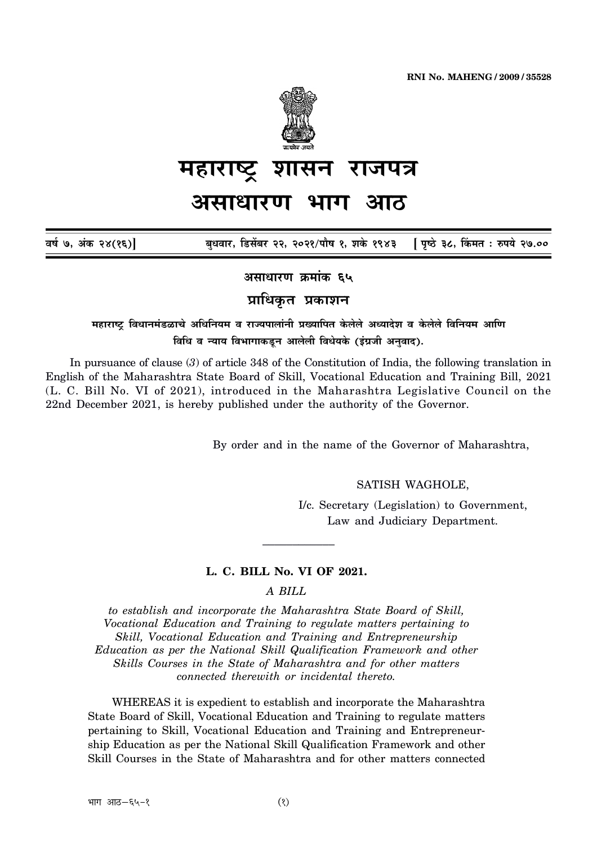

#### शा महाराष्ट्र सन राजपत्र असाधारण भाग आठ

| वर्ष ७, अंक २४(१६)] | बुधवार, डिसेंबर २२, २०२१/पौष १, शके १९४३    [ पृष्ठे ३८, किंमत : रुपये २७.०० |  |
|---------------------|------------------------------------------------------------------------------|--|
|                     |                                                                              |  |

असाधारण क्रमांक ६५

प्राधिकृत प्रकाशन

# महाराष्ट्र विधानमंडळाचे अधिनियम व राज्यपालांनी प्रख्यापित केलेले अध्यादेश व केलेले विनियम आणि विधि व न्याय विभागाकडून आलेली विधेयके (इंग्रजी अनवाद).

In pursuance of clause  $(3)$  of article 348 of the Constitution of India, the following translation in English of the Maharashtra State Board of Skill, Vocational Education and Training Bill, 2021 (L. C. Bill No. VI of 2021), introduced in the Maharashtra Legislative Council on the 22nd December 2021, is hereby published under the authority of the Governor.

By order and in the name of the Governor of Maharashtra,

SATISH WAGHOLE,

I/c. Secretary (Legislation) to Government, Law and Judiciary Department.

### L. C. BILL No. VI OF 2021.

A BILL

to establish and incorporate the Maharashtra State Board of Skill. Vocational Education and Training to regulate matters pertaining to Skill, Vocational Education and Training and Entrepreneurship Education as per the National Skill Qualification Framework and other Skills Courses in the State of Maharashtra and for other matters connected therewith or incidental thereto.

WHEREAS it is expedient to establish and incorporate the Maharashtra State Board of Skill, Vocational Education and Training to regulate matters pertaining to Skill, Vocational Education and Training and Entrepreneurship Education as per the National Skill Qualification Framework and other Skill Courses in the State of Maharashtra and for other matters connected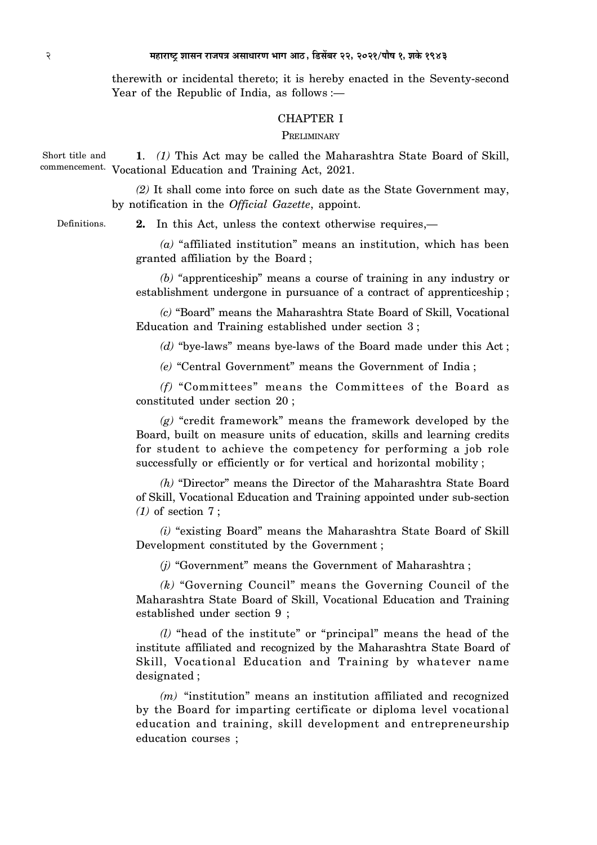therewith or incidental thereto; it is hereby enacted in the Seventy-second Year of the Republic of India, as follows :—

### CHAPTER I

**PRELIMINARY** 

**1**. *(1)* This Act may be called the Maharashtra State Board of Skill, commencement. Vocational Education and Training Act, 2021. Short title and

> *(2)* It shall come into force on such date as the State Government may, by notification in the *Official Gazette*, appoint.

Definitions.

**2.** In this Act, unless the context otherwise requires,—

*(a)* "affiliated institution" means an institution, which has been granted affiliation by the Board ;

*(b) "*apprenticeship" means a course of training in any industry or establishment undergone in pursuance of a contract of apprenticeship ;

*(c)* "Board" means the Maharashtra State Board of Skill, Vocational Education and Training established under section 3 ;

*(d)* "bye-laws" means bye-laws of the Board made under this Act ;

*(e)* "Central Government" means the Government of India ;

*(f)* "Committees" means the Committees of the Board as constituted under section 20 ;

*(g)* "credit framework" means the framework developed by the Board, built on measure units of education, skills and learning credits for student to achieve the competency for performing a job role successfully or efficiently or for vertical and horizontal mobility ;

*(h)* "Director" means the Director of the Maharashtra State Board of Skill, Vocational Education and Training appointed under sub-section *(1)* of section 7 ;

*(i)* "existing Board" means the Maharashtra State Board of Skill Development constituted by the Government ;

*(j)* "Government" means the Government of Maharashtra ;

*(k)* "Governing Council" means the Governing Council of the Maharashtra State Board of Skill, Vocational Education and Training established under section 9 ;

*(l)* "head of the institute" or "principal" means the head of the institute affiliated and recognized by the Maharashtra State Board of Skill, Vocational Education and Training by whatever name designated ;

*(m)* "institution" means an institution affiliated and recognized by the Board for imparting certificate or diploma level vocational education and training, skill development and entrepreneurship education courses ;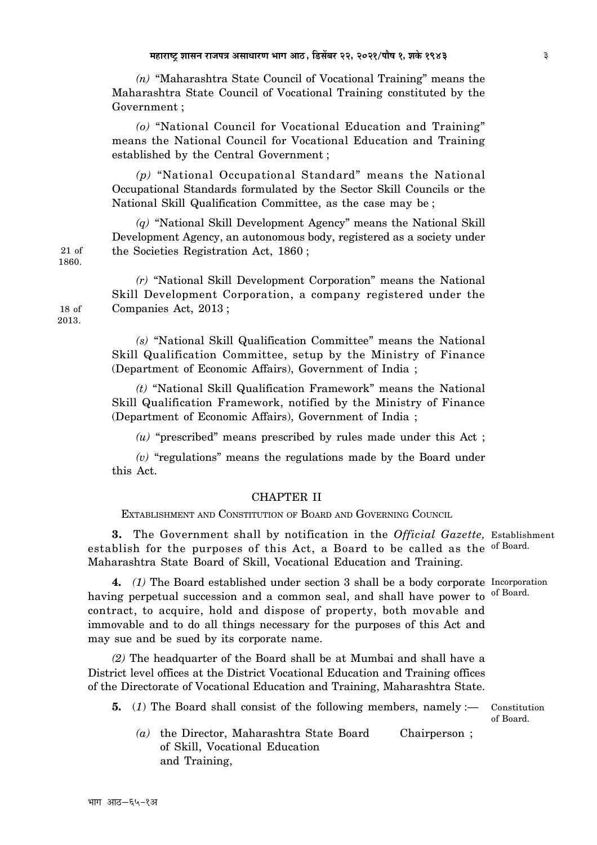$(n)$  "Maharashtra State Council of Vocational Training" means the Maharashtra State Council of Vocational Training constituted by the Government:

(o) "National Council for Vocational Education and Training" means the National Council for Vocational Education and Training established by the Central Government;

 $(p)$  "National Occupational Standard" means the National Occupational Standards formulated by the Sector Skill Councils or the National Skill Qualification Committee, as the case may be;

 $(q)$  "National Skill Development Agency" means the National Skill Development Agency, an autonomous body, registered as a society under the Societies Registration Act, 1860;

 $(r)$  "National Skill Development Corporation" means the National Skill Development Corporation, a company registered under the Companies Act, 2013;

(s) "National Skill Qualification Committee" means the National Skill Qualification Committee, setup by the Ministry of Finance (Department of Economic Affairs), Government of India;

 $(t)$  "National Skill Qualification Framework" means the National Skill Qualification Framework, notified by the Ministry of Finance (Department of Economic Affairs), Government of India;

 $(u)$  "prescribed" means prescribed by rules made under this Act;

 $(v)$  "regulations" means the regulations made by the Board under this Act.

### **CHAPTER II**

EXTABLISHMENT AND CONSTITUTION OF BOARD AND GOVERNING COUNCIL

3. The Government shall by notification in the *Official Gazette*, Establishment establish for the purposes of this Act, a Board to be called as the of Board. Maharashtra State Board of Skill, Vocational Education and Training.

4. (1) The Board established under section 3 shall be a body corporate Incorporation having perpetual succession and a common seal, and shall have power to of Board. contract, to acquire, hold and dispose of property, both movable and immovable and to do all things necessary for the purposes of this Act and may sue and be sued by its corporate name.

(2) The headquarter of the Board shall be at Mumbai and shall have a District level offices at the District Vocational Education and Training offices of the Directorate of Vocational Education and Training, Maharashtra State.

- **5.** (1) The Board shall consist of the following members, namely :—
	- $(a)$  the Director, Maharashtra State Board Chairperson: of Skill, Vocational Education and Training,

 $18<sub>0</sub>f$ 

 $21$  of

1860.

2013

Constitution of Board.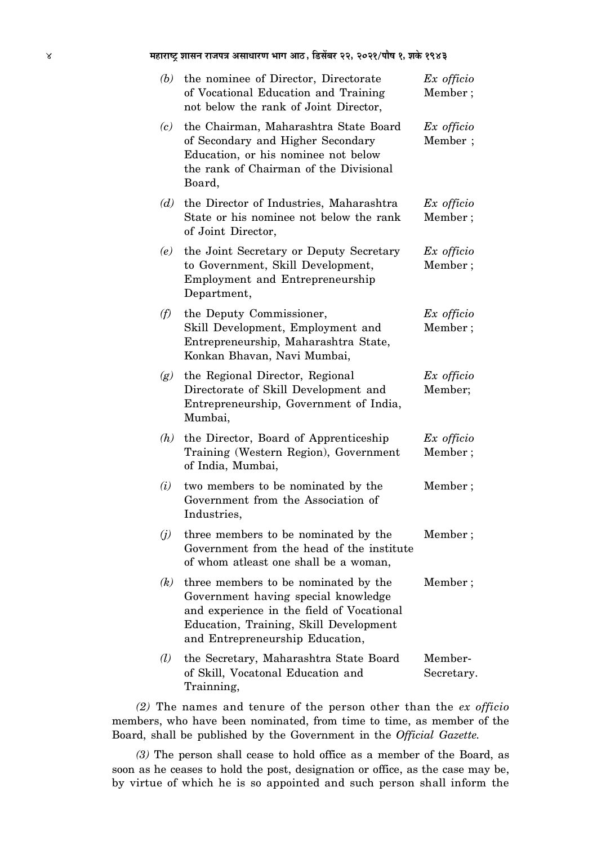## महाराष्ट्र शासन राजपत्र असाधारण भाग आठ, डिसेंबर २२, २०२१/पौष १, शके १९४३

| (b)               | the nominee of Director, Directorate<br>of Vocational Education and Training<br>not below the rank of Joint Director,                                                                                 | Ex officio<br>Member; |
|-------------------|-------------------------------------------------------------------------------------------------------------------------------------------------------------------------------------------------------|-----------------------|
| (c)               | the Chairman, Maharashtra State Board<br>of Secondary and Higher Secondary<br>Education, or his nominee not below<br>the rank of Chairman of the Divisional<br>Board,                                 | Ex officio<br>Member; |
| (d)               | the Director of Industries, Maharashtra<br>State or his nominee not below the rank<br>of Joint Director,                                                                                              | Ex officio<br>Member; |
| (e)               | the Joint Secretary or Deputy Secretary<br>to Government, Skill Development,<br>Employment and Entrepreneurship<br>Department,                                                                        | Ex officio<br>Member; |
| (f)               | the Deputy Commissioner,<br>Skill Development, Employment and<br>Entrepreneurship, Maharashtra State,<br>Konkan Bhavan, Navi Mumbai,                                                                  | Ex officio<br>Member; |
| (g)               | the Regional Director, Regional<br>Directorate of Skill Development and<br>Entrepreneurship, Government of India,<br>Mumbai,                                                                          | Ex officio<br>Member; |
| (h)               | the Director, Board of Apprenticeship<br>Training (Western Region), Government<br>of India, Mumbai,                                                                                                   | Ex officio<br>Member; |
| (i)               | two members to be nominated by the<br>Government from the Association of<br>Industries,                                                                                                               | Member;               |
| (j)               | three members to be nominated by the<br>Government from the head of the institute<br>of whom at least one shall be a woman,                                                                           | Member;               |
| $\left( k\right)$ | three members to be nominated by the<br>Government having special knowledge<br>and experience in the field of Vocational<br>Education, Training, Skill Development<br>and Entrepreneurship Education, | Member;               |
| $\left( U\right)$ | the Secretary, Maharashtra State Board<br>of Skill, Vocatonal Education and<br>Trainning,                                                                                                             | Member-<br>Secretary. |

 $(2)$  The names and tenure of the person other than the ex officio members, who have been nominated, from time to time, as member of the Board, shall be published by the Government in the Official Gazette.

(3) The person shall cease to hold office as a member of the Board, as soon as he ceases to hold the post, designation or office, as the case may be, by virtue of which he is so appointed and such person shall inform the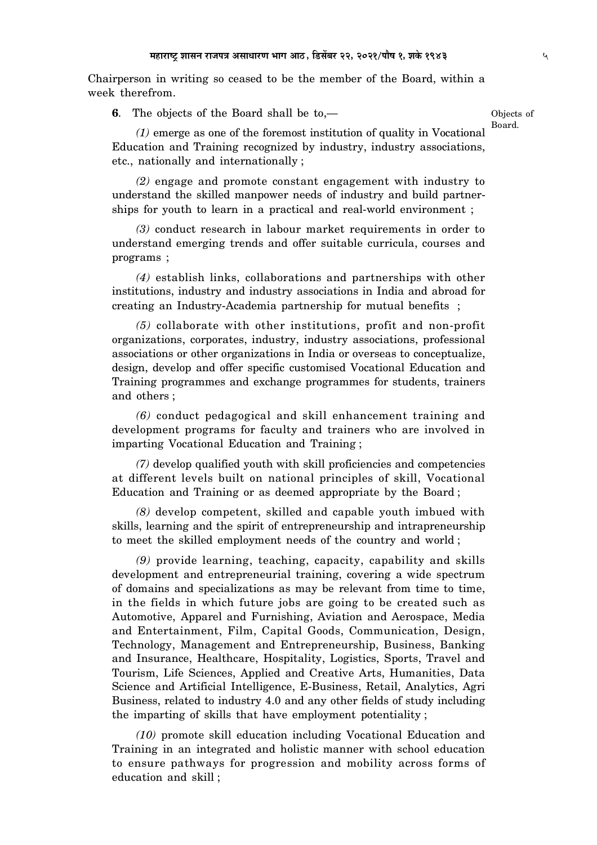Chairperson in writing so ceased to be the member of the Board, within a week therefrom.

**6**. The objects of the Board shall be to,—

*(1)* emerge as one of the foremost institution of quality in Vocational Education and Training recognized by industry, industry associations, etc., nationally and internationally ;

*(2)* engage and promote constant engagement with industry to understand the skilled manpower needs of industry and build partnerships for youth to learn in a practical and real-world environment ;

*(3)* conduct research in labour market requirements in order to understand emerging trends and offer suitable curricula, courses and programs ;

*(4)* establish links, collaborations and partnerships with other institutions, industry and industry associations in India and abroad for creating an Industry-Academia partnership for mutual benefits ;

*(5)* collaborate with other institutions, profit and non-profit organizations, corporates, industry, industry associations, professional associations or other organizations in India or overseas to conceptualize, design, develop and offer specific customised Vocational Education and Training programmes and exchange programmes for students, trainers and others ;

*(6)* conduct pedagogical and skill enhancement training and development programs for faculty and trainers who are involved in imparting Vocational Education and Training ;

*(7)* develop qualified youth with skill proficiencies and competencies at different levels built on national principles of skill, Vocational Education and Training or as deemed appropriate by the Board ;

*(8)* develop competent, skilled and capable youth imbued with skills, learning and the spirit of entrepreneurship and intrapreneurship to meet the skilled employment needs of the country and world ;

*(9)* provide learning, teaching, capacity, capability and skills development and entrepreneurial training, covering a wide spectrum of domains and specializations as may be relevant from time to time, in the fields in which future jobs are going to be created such as Automotive, Apparel and Furnishing, Aviation and Aerospace, Media and Entertainment, Film, Capital Goods, Communication, Design, Technology, Management and Entrepreneurship, Business, Banking and Insurance, Healthcare, Hospitality, Logistics, Sports, Travel and Tourism, Life Sciences, Applied and Creative Arts, Humanities, Data Science and Artificial Intelligence, E-Business, Retail, Analytics, Agri Business, related to industry 4.0 and any other fields of study including the imparting of skills that have employment potentiality ;

*(10)* promote skill education including Vocational Education and Training in an integrated and holistic manner with school education to ensure pathways for progression and mobility across forms of education and skill ;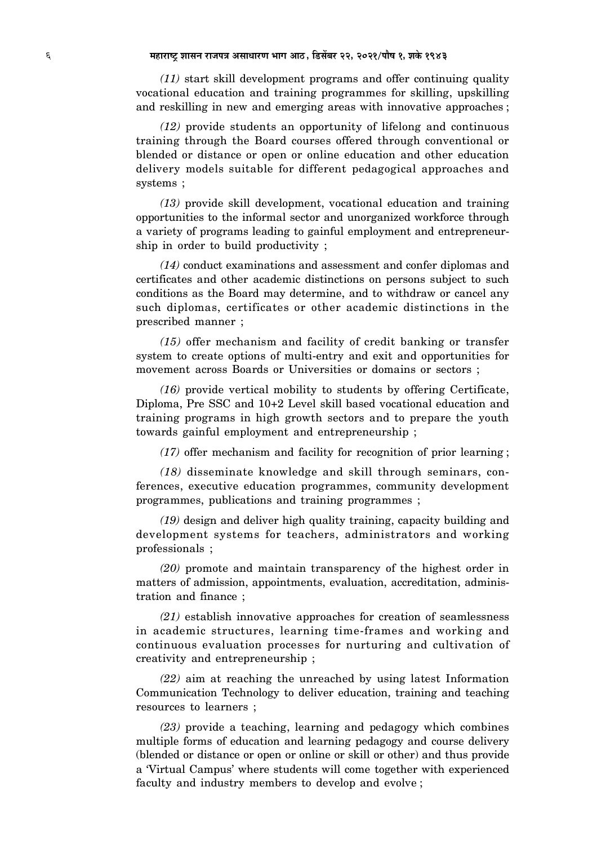*(11)* start skill development programs and offer continuing quality vocational education and training programmes for skilling, upskilling and reskilling in new and emerging areas with innovative approaches ;

*(12)* provide students an opportunity of lifelong and continuous training through the Board courses offered through conventional or blended or distance or open or online education and other education delivery models suitable for different pedagogical approaches and systems ;

*(13)* provide skill development, vocational education and training opportunities to the informal sector and unorganized workforce through a variety of programs leading to gainful employment and entrepreneurship in order to build productivity ;

*(14)* conduct examinations and assessment and confer diplomas and certificates and other academic distinctions on persons subject to such conditions as the Board may determine, and to withdraw or cancel any such diplomas, certificates or other academic distinctions in the prescribed manner ;

*(15)* offer mechanism and facility of credit banking or transfer system to create options of multi-entry and exit and opportunities for movement across Boards or Universities or domains or sectors ;

*(16)* provide vertical mobility to students by offering Certificate, Diploma, Pre SSC and 10+2 Level skill based vocational education and training programs in high growth sectors and to prepare the youth towards gainful employment and entrepreneurship ;

*(17)* offer mechanism and facility for recognition of prior learning ;

*(18)* disseminate knowledge and skill through seminars, conferences, executive education programmes, community development programmes, publications and training programmes ;

*(19)* design and deliver high quality training, capacity building and development systems for teachers, administrators and working professionals ;

*(20)* promote and maintain transparency of the highest order in matters of admission, appointments, evaluation, accreditation, administration and finance ;

*(21)* establish innovative approaches for creation of seamlessness in academic structures, learning time-frames and working and continuous evaluation processes for nurturing and cultivation of creativity and entrepreneurship ;

*(22)* aim at reaching the unreached by using latest Information Communication Technology to deliver education, training and teaching resources to learners ;

*(23)* provide a teaching, learning and pedagogy which combines multiple forms of education and learning pedagogy and course delivery (blended or distance or open or online or skill or other) and thus provide a 'Virtual Campus' where students will come together with experienced faculty and industry members to develop and evolve ;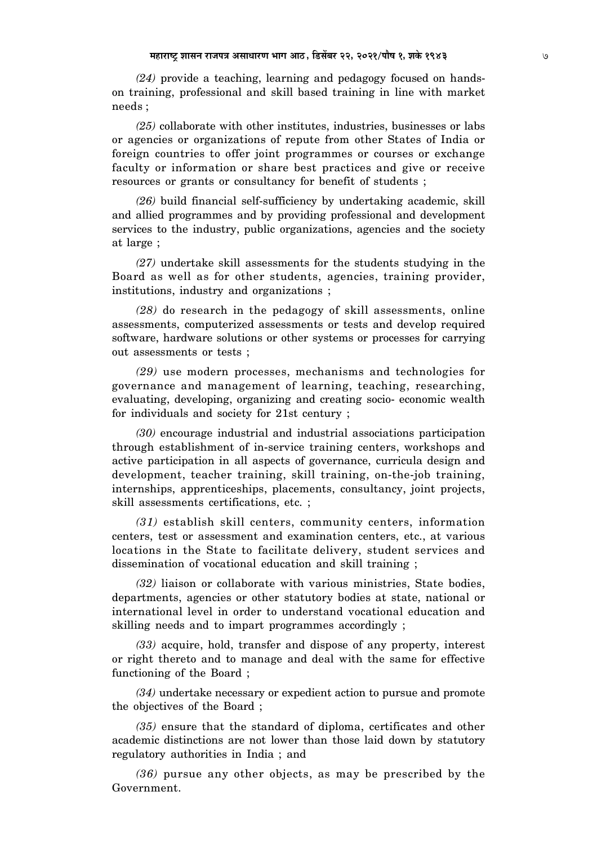$(24)$  provide a teaching, learning and pedagogy focused on handson training, professional and skill based training in line with market needs:

 $(25)$  collaborate with other institutes, industries, businesses or labs or agencies or organizations of repute from other States of India or foreign countries to offer joint programmes or courses or exchange faculty or information or share best practices and give or receive resources or grants or consultancy for benefit of students;

 $(26)$  build financial self-sufficiency by undertaking academic, skill and allied programmes and by providing professional and development services to the industry, public organizations, agencies and the society at large;

 $(27)$  undertake skill assessments for the students studying in the Board as well as for other students, agencies, training provider, institutions, industry and organizations;

 $(28)$  do research in the pedagogy of skill assessments, online assessments, computerized assessments or tests and develop required software, hardware solutions or other systems or processes for carrying out assessments or tests;

 $(29)$  use modern processes, mechanisms and technologies for governance and management of learning, teaching, researching, evaluating, developing, organizing and creating socio-economic wealth for individuals and society for 21st century;

 $(30)$  encourage industrial and industrial associations participation through establishment of in-service training centers, workshops and active participation in all aspects of governance, curricula design and development, teacher training, skill training, on-the-job training, internships, apprenticeships, placements, consultancy, joint projects, skill assessments certifications, etc.;

 $(31)$  establish skill centers, community centers, information centers, test or assessment and examination centers, etc., at various locations in the State to facilitate delivery, student services and dissemination of vocational education and skill training;

(32) liaison or collaborate with various ministries, State bodies, departments, agencies or other statutory bodies at state, national or international level in order to understand vocational education and skilling needs and to impart programmes accordingly;

(33) acquire, hold, transfer and dispose of any property, interest or right thereto and to manage and deal with the same for effective functioning of the Board;

 $(34)$  undertake necessary or expedient action to pursue and promote the objectives of the Board;

 $(35)$  ensure that the standard of diploma, certificates and other academic distinctions are not lower than those laid down by statutory regulatory authorities in India; and

 $(36)$  pursue any other objects, as may be prescribed by the Government.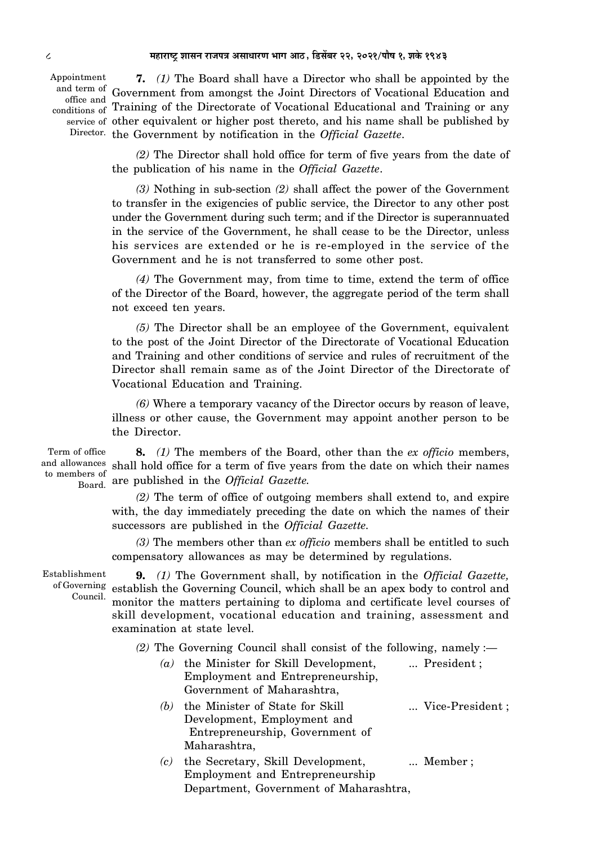Appointment office and

**7.** *(1)* The Board shall have a Director who shall be appointed by the and term of Government from amongst the Joint Directors of Vocational Education and conditions of Training of the Directorate of Vocational Educational and Training or any service of other equivalent or higher post thereto, and his name shall be published by Director. the Government by notification in the *Official Gazette*.

> *(2)* The Director shall hold office for term of five years from the date of the publication of his name in the *Official Gazette*.

> *(3)* Nothing in sub-section *(2)* shall affect the power of the Government to transfer in the exigencies of public service, the Director to any other post under the Government during such term; and if the Director is superannuated in the service of the Government, he shall cease to be the Director, unless his services are extended or he is re-employed in the service of the Government and he is not transferred to some other post.

> *(4)* The Government may, from time to time, extend the term of office of the Director of the Board, however, the aggregate period of the term shall not exceed ten years.

> *(5)* The Director shall be an employee of the Government, equivalent to the post of the Joint Director of the Directorate of Vocational Education and Training and other conditions of service and rules of recruitment of the Director shall remain same as of the Joint Director of the Directorate of Vocational Education and Training.

> *(6)* Where a temporary vacancy of the Director occurs by reason of leave, illness or other cause, the Government may appoint another person to be the Director.

**8.** *(1)* The members of the Board, other than the *ex officio* members, and allowances shall hold office for a term of five years from the date on which their names are published in the *Official Gazette.* Board. Term of office to members of

> *(2)* The term of office of outgoing members shall extend to, and expire with, the day immediately preceding the date on which the names of their successors are published in the *Official Gazette.*

> *(3)* The members other than *ex officio* members shall be entitled to such compensatory allowances as may be determined by regulations.

Establishment of Governing Council.

**9.** *(1)* The Government shall, by notification in the *Official Gazette,* establish the Governing Council, which shall be an apex body to control and monitor the matters pertaining to diploma and certificate level courses of skill development, vocational education and training, assessment and examination at state level.

*(2)* The Governing Council shall consist of the following, namely :—

| $\left( a\right)$ | the Minister for Skill Development,<br>Employment and Entrepreneurship,                                           | President;       |
|-------------------|-------------------------------------------------------------------------------------------------------------------|------------------|
|                   | Government of Maharashtra,                                                                                        |                  |
| (b)               | the Minister of State for Skill<br>Development, Employment and<br>Entrepreneurship, Government of<br>Maharashtra, | Vice-President;  |
| (c)               | the Secretary, Skill Development,<br>Employment and Entrepreneurship                                              | $\ldots$ Member; |

Department, Government of Maharashtra,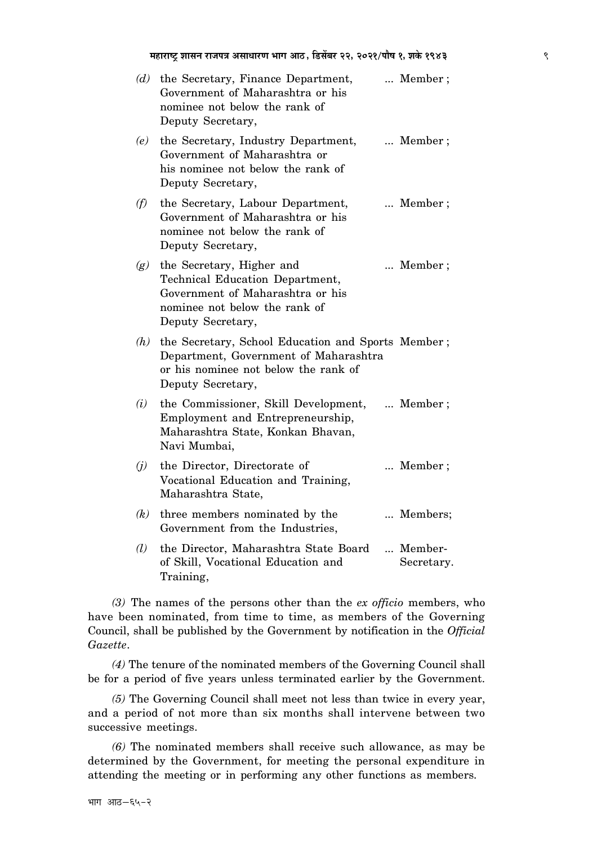| (d)               | the Secretary, Finance Department,<br>Government of Maharashtra or his<br>nominee not below the rank of<br>Deputy Secretary,                             | Member;               |
|-------------------|----------------------------------------------------------------------------------------------------------------------------------------------------------|-----------------------|
| (e)               | the Secretary, Industry Department,<br>Government of Maharashtra or<br>his nominee not below the rank of<br>Deputy Secretary,                            | Member;               |
| (f)               | the Secretary, Labour Department,<br>Government of Maharashtra or his<br>nominee not below the rank of<br>Deputy Secretary,                              | Member;               |
| (g)               | the Secretary, Higher and<br>Technical Education Department,<br>Government of Maharashtra or his<br>nominee not below the rank of<br>Deputy Secretary,   | Member;               |
| (h)               | the Secretary, School Education and Sports Member;<br>Department, Government of Maharashtra<br>or his nominee not below the rank of<br>Deputy Secretary, |                       |
| (i)               | the Commissioner, Skill Development,<br>Employment and Entrepreneurship,<br>Maharashtra State, Konkan Bhavan,<br>Navi Mumbai,                            | Member;               |
| (j)               | the Director, Directorate of<br>Vocational Education and Training,<br>Maharashtra State,                                                                 | Member;               |
| (k)               | three members nominated by the<br>Government from the Industries,                                                                                        | Members;              |
| $\left( l\right)$ | the Director, Maharashtra State Board<br>of Skill, Vocational Education and<br>Training,                                                                 | Member-<br>Secretary. |

 $(3)$  The names of the persons other than the *ex* officio members, who have been nominated, from time to time, as members of the Governing Council, shall be published by the Government by notification in the Official Gazette.

(4) The tenure of the nominated members of the Governing Council shall be for a period of five years unless terminated earlier by the Government.

(5) The Governing Council shall meet not less than twice in every year, and a period of not more than six months shall intervene between two successive meetings.

 $(6)$  The nominated members shall receive such allowance, as may be determined by the Government, for meeting the personal expenditure in attending the meeting or in performing any other functions as members.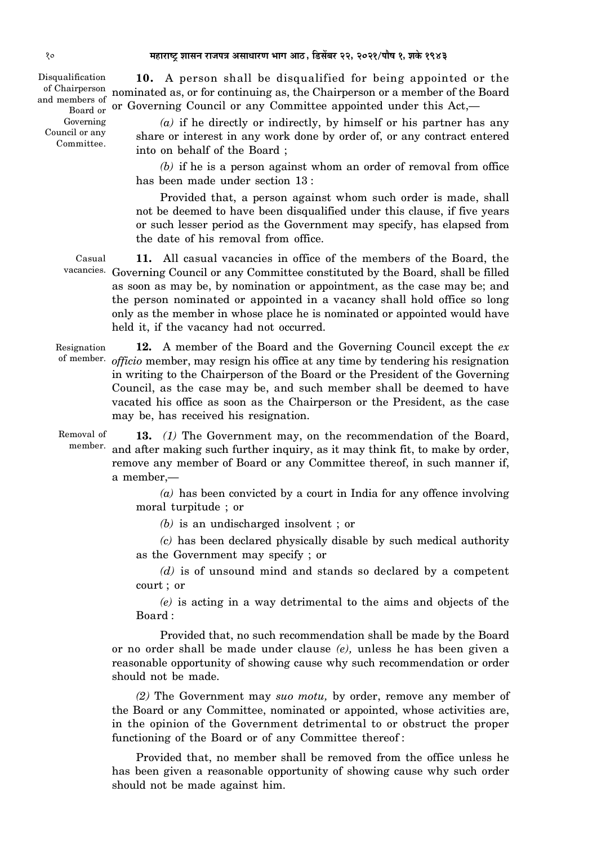Disqualification and members of Governing Council or any Committee.

**10.** A person shall be disqualified for being appointed or the of Chairperson nominated as, or for continuing as, the Chairperson or a member of the Board  $\frac{1}{100}$  and or Governing Council or any Committee appointed under this Act,—

> *(a)* if he directly or indirectly, by himself or his partner has any share or interest in any work done by order of, or any contract entered into on behalf of the Board ;

*(b)* if he is a person against whom an order of removal from office has been made under section 13 :

Provided that, a person against whom such order is made, shall not be deemed to have been disqualified under this clause, if five years or such lesser period as the Government may specify, has elapsed from the date of his removal from office.

**11.** All casual vacancies in office of the members of the Board, the vacancies. Governing Council or any Committee constituted by the Board, shall be filled as soon as may be, by nomination or appointment, as the case may be; and the person nominated or appointed in a vacancy shall hold office so long only as the member in whose place he is nominated or appointed would have held it, if the vacancy had not occurred. Casual

**12.** A member of the Board and the Governing Council except the *ex* of member. *officio* member, may resign his office at any time by tendering his resignation in writing to the Chairperson of the Board or the President of the Governing Council, as the case may be, and such member shall be deemed to have vacated his office as soon as the Chairperson or the President, as the case may be, has received his resignation. Resignation

**13.** *(1)* The Government may, on the recommendation of the Board, and after making such further inquiry, as it may think fit, to make by order, remove any member of Board or any Committee thereof, in such manner if, a member,— Removal of member.

> *(a)* has been convicted by a court in India for any offence involving moral turpitude ; or

*(b)* is an undischarged insolvent ; or

*(c)* has been declared physically disable by such medical authority as the Government may specify ; or

*(d)* is of unsound mind and stands so declared by a competent court ; or

*(e)* is acting in a way detrimental to the aims and objects of the Board :

Provided that, no such recommendation shall be made by the Board or no order shall be made under clause *(e),* unless he has been given a reasonable opportunity of showing cause why such recommendation or order should not be made.

*(2)* The Government may *suo motu,* by order, remove any member of the Board or any Committee, nominated or appointed, whose activities are, in the opinion of the Government detrimental to or obstruct the proper functioning of the Board or of any Committee thereof :

Provided that, no member shall be removed from the office unless he has been given a reasonable opportunity of showing cause why such order should not be made against him.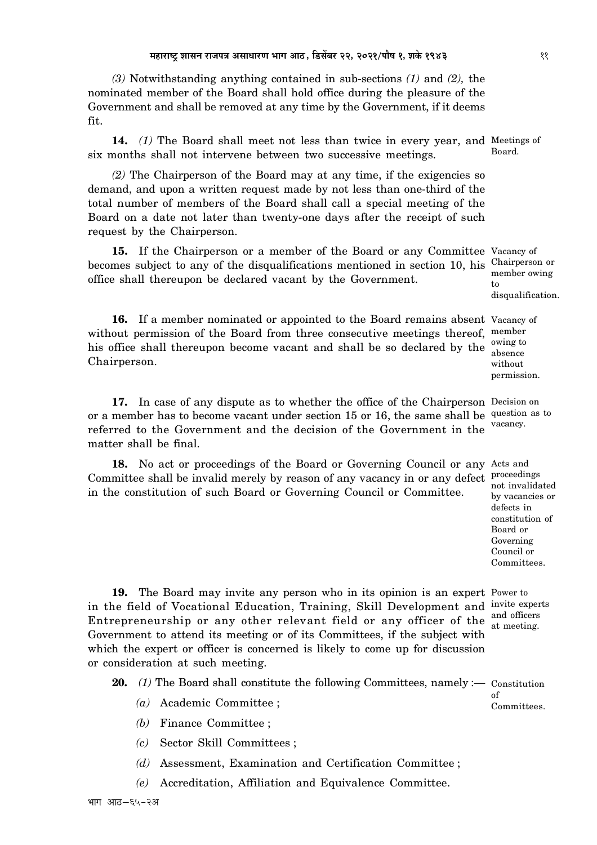*(3)* Notwithstanding anything contained in sub-sections *(1)* and *(2),* the nominated member of the Board shall hold office during the pleasure of the Government and shall be removed at any time by the Government, if it deems fit.

**14.** *(1)* The Board shall meet not less than twice in every year, and Meetings of six months shall not intervene between two successive meetings.

*(2)* The Chairperson of the Board may at any time, if the exigencies so demand, and upon a written request made by not less than one-third of the total number of members of the Board shall call a special meeting of the Board on a date not later than twenty-one days after the receipt of such request by the Chairperson.

15. If the Chairperson or a member of the Board or any Committee Vacancy of becomes subject to any of the disqualifications mentioned in section 10, his Chairperson or office shall thereupon be declared vacant by the Government. to

16. If a member nominated or appointed to the Board remains absent Vacancy of without permission of the Board from three consecutive meetings thereof, member his office shall thereupon become vacant and shall be so declared by the  $\frac{\text{owing to}}{\text{absence}}$ Chairperson.

17. In case of any dispute as to whether the office of the Chairperson Decision on or a member has to become vacant under section 15 or 16, the same shall be question as to referred to the Government and the decision of the Government in the matter shall be final.

18. No act or proceedings of the Board or Governing Council or any Acts and Committee shall be invalid merely by reason of any vacancy in or any defect proceedings in the constitution of such Board or Governing Council or Committee.

not invalidated by vacancies or defects in constitution of Board or Governing Council or Committees.

**19.** The Board may invite any person who in its opinion is an expert Power to in the field of Vocational Education, Training, Skill Development and invite experts Entrepreneurship or any other relevant field or any officer of the  $\frac{1}{\text{at most integer}}$ Government to attend its meeting or of its Committees, if the subject with which the expert or officer is concerned is likely to come up for discussion or consideration at such meeting.

- 20. (1) The Board shall constitute the following Committees, namely :— Constitution
	- *(a)* Academic Committee ;
	- *(b)* Finance Committee ;
	- *(c)* Sector Skill Committees ;
	- *(d)* Assessment, Examination and Certification Committee ;
	- *(e)* Accreditation, Affiliation and Equivalence Committee.

Board.

member owing disqualification.

absence without permission.

vacancy.

at meeting.

of Committees.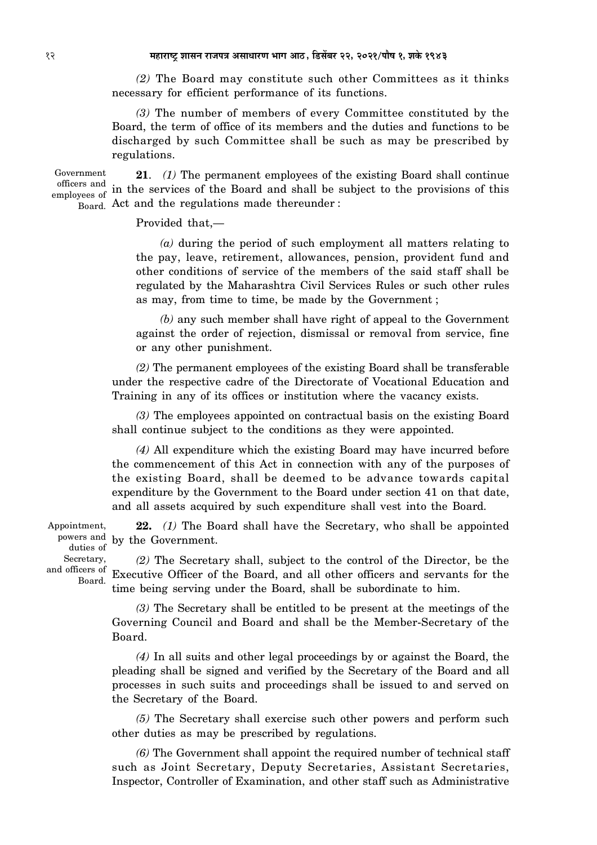*(2)* The Board may constitute such other Committees as it thinks necessary for efficient performance of its functions.

*(3)* The number of members of every Committee constituted by the Board, the term of office of its members and the duties and functions to be discharged by such Committee shall be such as may be prescribed by regulations.

Government employees of

**21**. *(1)* The permanent employees of the existing Board shall continue officers and in the services of the Board and shall be subject to the provisions of this Board. Act and the regulations made thereunder:

Provided that,—

*(a)* during the period of such employment all matters relating to the pay, leave, retirement, allowances, pension, provident fund and other conditions of service of the members of the said staff shall be regulated by the Maharashtra Civil Services Rules or such other rules as may, from time to time, be made by the Government ;

*(b)* any such member shall have right of appeal to the Government against the order of rejection, dismissal or removal from service, fine or any other punishment.

*(2)* The permanent employees of the existing Board shall be transferable under the respective cadre of the Directorate of Vocational Education and Training in any of its offices or institution where the vacancy exists.

*(3)* The employees appointed on contractual basis on the existing Board shall continue subject to the conditions as they were appointed.

*(4)* All expenditure which the existing Board may have incurred before the commencement of this Act in connection with any of the purposes of the existing Board, shall be deemed to be advance towards capital expenditure by the Government to the Board under section 41 on that date, and all assets acquired by such expenditure shall vest into the Board.

**22.** *(1)* The Board shall have the Secretary, who shall be appointed by the Government. Appointment, powers and duties of

Secretary, and officers of Board.

*(2)* The Secretary shall, subject to the control of the Director, be the Executive Officer of the Board, and all other officers and servants for the time being serving under the Board, shall be subordinate to him.

*(3)* The Secretary shall be entitled to be present at the meetings of the Governing Council and Board and shall be the Member-Secretary of the Board.

*(4)* In all suits and other legal proceedings by or against the Board, the pleading shall be signed and verified by the Secretary of the Board and all processes in such suits and proceedings shall be issued to and served on the Secretary of the Board.

*(5)* The Secretary shall exercise such other powers and perform such other duties as may be prescribed by regulations.

*(6)* The Government shall appoint the required number of technical staff such as Joint Secretary, Deputy Secretaries, Assistant Secretaries, Inspector, Controller of Examination, and other staff such as Administrative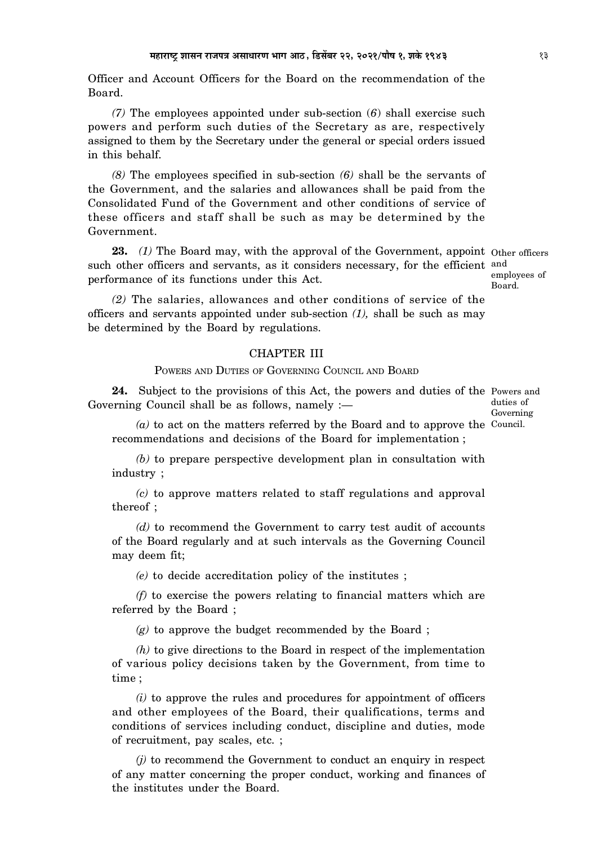Officer and Account Officers for the Board on the recommendation of the Board.

*(7)* The employees appointed under sub-section (*6*) shall exercise such powers and perform such duties of the Secretary as are, respectively assigned to them by the Secretary under the general or special orders issued in this behalf.

*(8)* The employees specified in sub-section *(6)* shall be the servants of the Government, and the salaries and allowances shall be paid from the Consolidated Fund of the Government and other conditions of service of these officers and staff shall be such as may be determined by the Government.

23. (1) The Board may, with the approval of the Government, appoint Other officers such other officers and servants, as it considers necessary, for the efficient and performance of its functions under this Act. employees of

*(2)* The salaries, allowances and other conditions of service of the officers and servants appointed under sub-section *(1),* shall be such as may Board.

CHAPTER III

be determined by the Board by regulations.

POWERS AND DUTIES OF GOVERNING COUNCIL AND BOARD

**24.** Subject to the provisions of this Act, the powers and duties of the Powers and Governing Council shall be as follows, namely :—

*(a)* to act on the matters referred by the Board and to approve the Council.recommendations and decisions of the Board for implementation ;

*(b)* to prepare perspective development plan in consultation with industry ;

*(c)* to approve matters related to staff regulations and approval thereof ;

*(d)* to recommend the Government to carry test audit of accounts of the Board regularly and at such intervals as the Governing Council may deem fit;

*(e)* to decide accreditation policy of the institutes ;

*(f)* to exercise the powers relating to financial matters which are referred by the Board ;

*(g)* to approve the budget recommended by the Board ;

*(h)* to give directions to the Board in respect of the implementation of various policy decisions taken by the Government, from time to time ;

*(i)* to approve the rules and procedures for appointment of officers and other employees of the Board, their qualifications, terms and conditions of services including conduct, discipline and duties, mode of recruitment, pay scales, etc. ;

*(j)* to recommend the Government to conduct an enquiry in respect of any matter concerning the proper conduct, working and finances of the institutes under the Board.

duties of Governing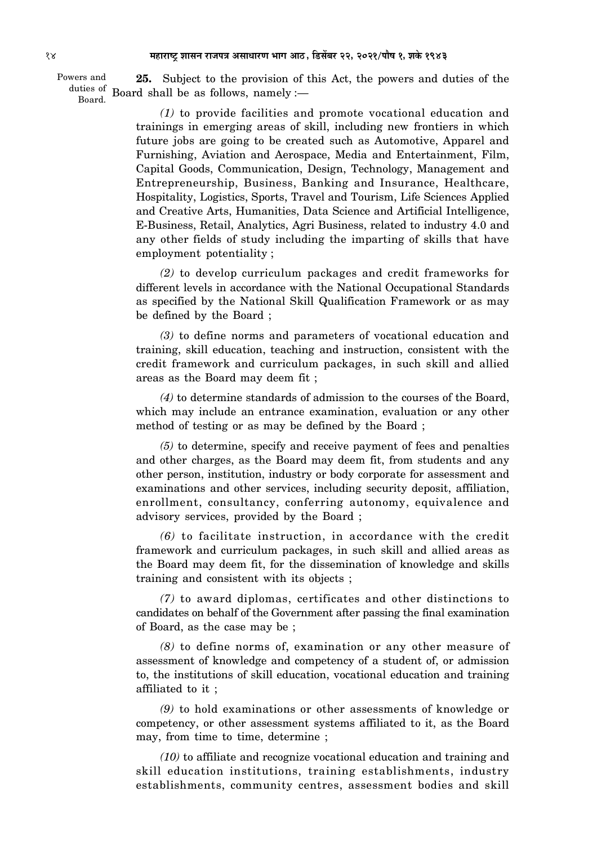Powers and **25.** Subject to the provision of this Act, the powers and duties of the duties of Board shall be as follows, namely :-Board.

> $(1)$  to provide facilities and promote vocational education and trainings in emerging areas of skill, including new frontiers in which future jobs are going to be created such as Automotive, Apparel and Furnishing, Aviation and Aerospace, Media and Entertainment, Film, Capital Goods, Communication, Design, Technology, Management and Entrepreneurship, Business, Banking and Insurance, Healthcare, Hospitality, Logistics, Sports, Travel and Tourism, Life Sciences Applied and Creative Arts, Humanities, Data Science and Artificial Intelligence, E-Business, Retail, Analytics, Agri Business, related to industry 4.0 and any other fields of study including the imparting of skills that have employment potentiality;

> $(2)$  to develop curriculum packages and credit frameworks for different levels in accordance with the National Occupational Standards as specified by the National Skill Qualification Framework or as may be defined by the Board;

> $(3)$  to define norms and parameters of vocational education and training, skill education, teaching and instruction, consistent with the credit framework and curriculum packages, in such skill and allied areas as the Board may deem fit;

> $(4)$  to determine standards of admission to the courses of the Board, which may include an entrance examination, evaluation or any other method of testing or as may be defined by the Board;

> $(5)$  to determine, specify and receive payment of fees and penalties and other charges, as the Board may deem fit, from students and any other person, institution, industry or body corporate for assessment and examinations and other services, including security deposit, affiliation, enrollment, consultancy, conferring autonomy, equivalence and advisory services, provided by the Board;

> $(6)$  to facilitate instruction, in accordance with the credit framework and curriculum packages, in such skill and allied areas as the Board may deem fit, for the dissemination of knowledge and skills training and consistent with its objects;

> $(7)$  to award diplomas, certificates and other distinctions to candidates on behalf of the Government after passing the final examination of Board, as the case may be;

> $(8)$  to define norms of, examination or any other measure of assessment of knowledge and competency of a student of, or admission to, the institutions of skill education, vocational education and training affiliated to it:

> $(9)$  to hold examinations or other assessments of knowledge or competency, or other assessment systems affiliated to it, as the Board may, from time to time, determine;

> $(10)$  to affiliate and recognize vocational education and training and skill education institutions, training establishments, industry establishments, community centres, assessment bodies and skill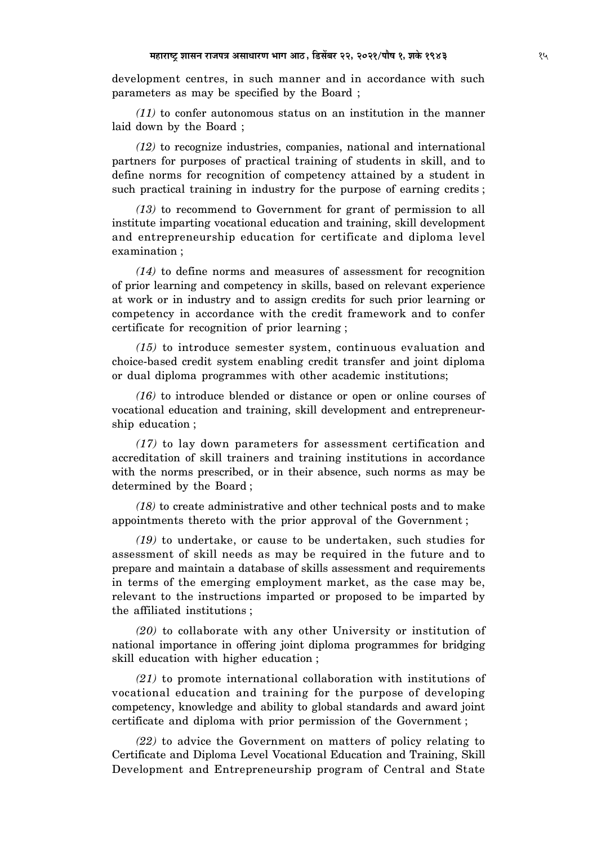development centres, in such manner and in accordance with such parameters as may be specified by the Board;

 $(11)$  to confer autonomous status on an institution in the manner laid down by the Board;

 $(12)$  to recognize industries, companies, national and international partners for purposes of practical training of students in skill, and to define norms for recognition of competency attained by a student in such practical training in industry for the purpose of earning credits;

 $(13)$  to recommend to Government for grant of permission to all institute imparting vocational education and training, skill development and entrepreneurship education for certificate and diploma level examination;

 $(14)$  to define norms and measures of assessment for recognition of prior learning and competency in skills, based on relevant experience at work or in industry and to assign credits for such prior learning or competency in accordance with the credit framework and to confer certificate for recognition of prior learning;

 $(15)$  to introduce semester system, continuous evaluation and choice-based credit system enabling credit transfer and joint diploma or dual diploma programmes with other academic institutions;

 $(16)$  to introduce blended or distance or open or online courses of vocational education and training, skill development and entrepreneurship education;

 $(17)$  to lay down parameters for assessment certification and accreditation of skill trainers and training institutions in accordance with the norms prescribed, or in their absence, such norms as may be determined by the Board;

 $(18)$  to create administrative and other technical posts and to make appointments thereto with the prior approval of the Government;

 $(19)$  to undertake, or cause to be undertaken, such studies for assessment of skill needs as may be required in the future and to prepare and maintain a database of skills assessment and requirements in terms of the emerging employment market, as the case may be, relevant to the instructions imparted or proposed to be imparted by the affiliated institutions:

 $(20)$  to collaborate with any other University or institution of national importance in offering joint diploma programmes for bridging skill education with higher education;

 $(21)$  to promote international collaboration with institutions of vocational education and training for the purpose of developing competency, knowledge and ability to global standards and award joint certificate and diploma with prior permission of the Government:

 $(22)$  to advice the Government on matters of policy relating to Certificate and Diploma Level Vocational Education and Training, Skill Development and Entrepreneurship program of Central and State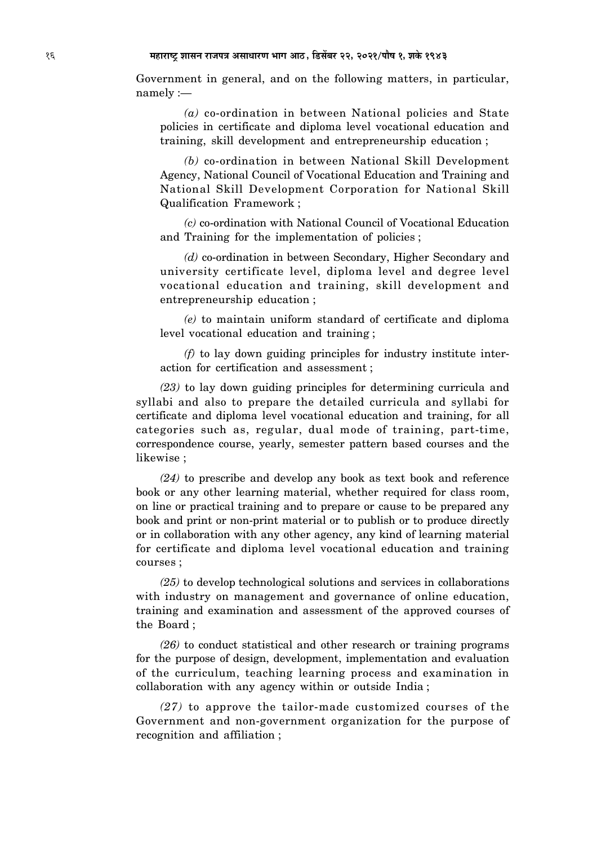### 16 **¨É½þÉ®úɹ]Åõ ¶ÉɺÉxÉ ®úÉVÉ{ÉjÉ +ºÉÉvÉÉ®úhÉ ¦ÉÉMÉ +É`ööú, Êb÷ºÉå¤É®ú 22, 2021/{ÉÉè¹É 1, ¶ÉEäò 1943**

Government in general, and on the following matters, in particular, namely :—

*(a)* co-ordination in between National policies and State policies in certificate and diploma level vocational education and training, skill development and entrepreneurship education ;

*(b)* co-ordination in between National Skill Development Agency, National Council of Vocational Education and Training and National Skill Development Corporation for National Skill Qualification Framework ;

*(c)* co-ordination with National Council of Vocational Education and Training for the implementation of policies ;

*(d)* co-ordination in between Secondary, Higher Secondary and university certificate level, diploma level and degree level vocational education and training, skill development and entrepreneurship education ;

*(e)* to maintain uniform standard of certificate and diploma level vocational education and training ;

*(f)* to lay down guiding principles for industry institute interaction for certification and assessment ;

*(23)* to lay down guiding principles for determining curricula and syllabi and also to prepare the detailed curricula and syllabi for certificate and diploma level vocational education and training, for all categories such as, regular, dual mode of training, part-time, correspondence course, yearly, semester pattern based courses and the likewise ;

*(24)* to prescribe and develop any book as text book and reference book or any other learning material, whether required for class room, on line or practical training and to prepare or cause to be prepared any book and print or non-print material or to publish or to produce directly or in collaboration with any other agency, any kind of learning material for certificate and diploma level vocational education and training courses ;

*(25)* to develop technological solutions and services in collaborations with industry on management and governance of online education, training and examination and assessment of the approved courses of the Board ;

*(26)* to conduct statistical and other research or training programs for the purpose of design, development, implementation and evaluation of the curriculum, teaching learning process and examination in collaboration with any agency within or outside India ;

*(27)* to approve the tailor-made customized courses of the Government and non-government organization for the purpose of recognition and affiliation ;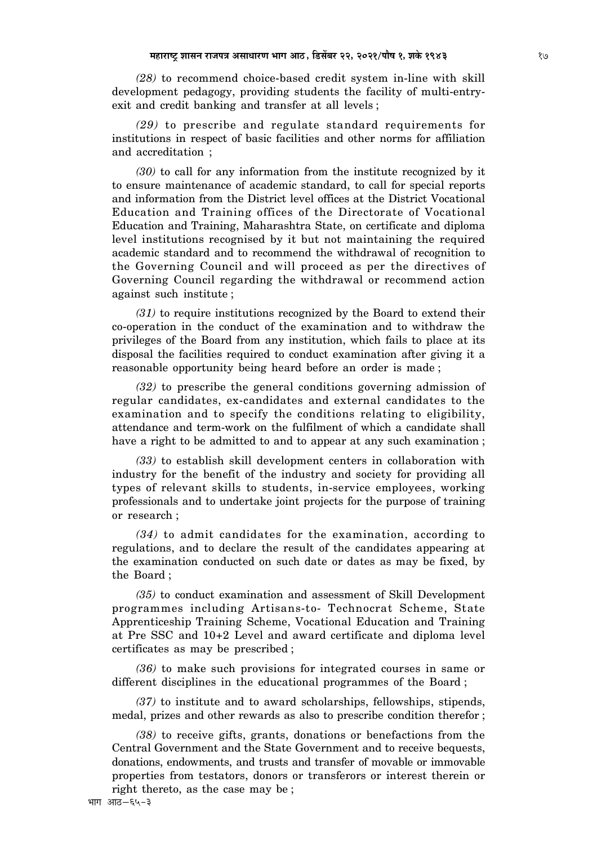*(28)* to recommend choice-based credit system in-line with skill development pedagogy, providing students the facility of multi-entryexit and credit banking and transfer at all levels ;

*(29)* to prescribe and regulate standard requirements for institutions in respect of basic facilities and other norms for affiliation and accreditation ;

*(30)* to call for any information from the institute recognized by it to ensure maintenance of academic standard, to call for special reports and information from the District level offices at the District Vocational Education and Training offices of the Directorate of Vocational Education and Training, Maharashtra State, on certificate and diploma level institutions recognised by it but not maintaining the required academic standard and to recommend the withdrawal of recognition to the Governing Council and will proceed as per the directives of Governing Council regarding the withdrawal or recommend action against such institute ;

*(31)* to require institutions recognized by the Board to extend their co-operation in the conduct of the examination and to withdraw the privileges of the Board from any institution, which fails to place at its disposal the facilities required to conduct examination after giving it a reasonable opportunity being heard before an order is made ;

*(32)* to prescribe the general conditions governing admission of regular candidates, ex-candidates and external candidates to the examination and to specify the conditions relating to eligibility, attendance and term-work on the fulfilment of which a candidate shall have a right to be admitted to and to appear at any such examination ;

*(33)* to establish skill development centers in collaboration with industry for the benefit of the industry and society for providing all types of relevant skills to students, in-service employees, working professionals and to undertake joint projects for the purpose of training or research ;

*(34)* to admit candidates for the examination, according to regulations, and to declare the result of the candidates appearing at the examination conducted on such date or dates as may be fixed, by the Board ;

*(35)* to conduct examination and assessment of Skill Development programmes including Artisans-to- Technocrat Scheme, State Apprenticeship Training Scheme, Vocational Education and Training at Pre SSC and 10+2 Level and award certificate and diploma level certificates as may be prescribed ;

*(36)* to make such provisions for integrated courses in same or different disciplines in the educational programmes of the Board ;

*(37)* to institute and to award scholarships, fellowships, stipends, medal, prizes and other rewards as also to prescribe condition therefor ;

*(38)* to receive gifts, grants, donations or benefactions from the Central Government and the State Government and to receive bequests, donations, endowments, and trusts and transfer of movable or immovable properties from testators, donors or transferors or interest therein or right thereto, as the case may be ;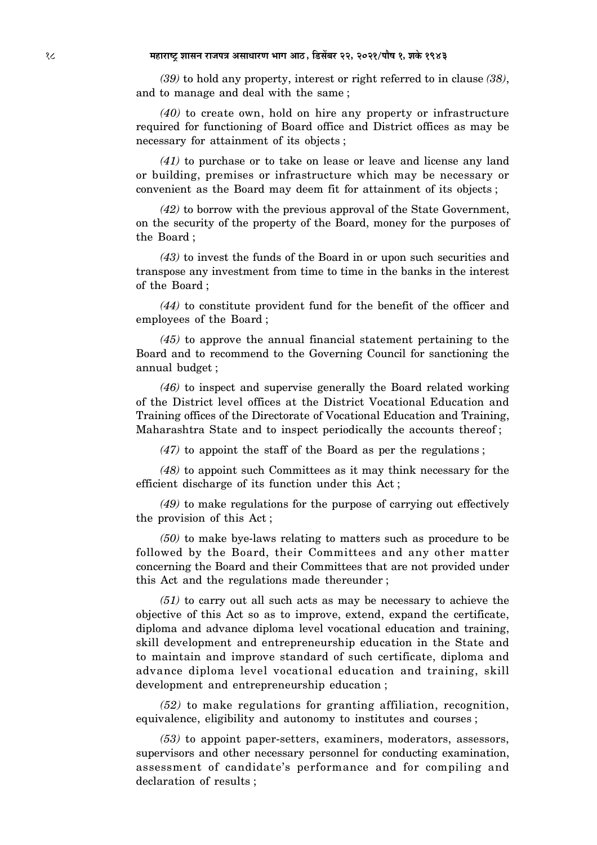### 18 **¨É½þÉ®úɹ]Åõ ¶ÉɺÉxÉ ®úÉVÉ{ÉjÉ +ºÉÉvÉÉ®úhÉ ¦ÉÉMÉ +É`ööú, Êb÷ºÉå¤É®ú 22, 2021/{ÉÉè¹É 1, ¶ÉEäò 1943**

*(39)* to hold any property, interest or right referred to in clause *(38)*, and to manage and deal with the same ;

*(40)* to create own, hold on hire any property or infrastructure required for functioning of Board office and District offices as may be necessary for attainment of its objects ;

*(41)* to purchase or to take on lease or leave and license any land or building, premises or infrastructure which may be necessary or convenient as the Board may deem fit for attainment of its objects ;

*(42)* to borrow with the previous approval of the State Government, on the security of the property of the Board, money for the purposes of the Board ;

*(43)* to invest the funds of the Board in or upon such securities and transpose any investment from time to time in the banks in the interest of the Board ;

*(44)* to constitute provident fund for the benefit of the officer and employees of the Board ;

*(45)* to approve the annual financial statement pertaining to the Board and to recommend to the Governing Council for sanctioning the annual budget ;

*(46)* to inspect and supervise generally the Board related working of the District level offices at the District Vocational Education and Training offices of the Directorate of Vocational Education and Training, Maharashtra State and to inspect periodically the accounts thereof ;

*(47)* to appoint the staff of the Board as per the regulations ;

*(48)* to appoint such Committees as it may think necessary for the efficient discharge of its function under this Act ;

*(49)* to make regulations for the purpose of carrying out effectively the provision of this Act ;

*(50)* to make bye-laws relating to matters such as procedure to be followed by the Board, their Committees and any other matter concerning the Board and their Committees that are not provided under this Act and the regulations made thereunder ;

*(51)* to carry out all such acts as may be necessary to achieve the objective of this Act so as to improve, extend, expand the certificate, diploma and advance diploma level vocational education and training, skill development and entrepreneurship education in the State and to maintain and improve standard of such certificate, diploma and advance diploma level vocational education and training, skill development and entrepreneurship education ;

*(52)* to make regulations for granting affiliation, recognition, equivalence, eligibility and autonomy to institutes and courses ;

*(53)* to appoint paper-setters, examiners, moderators, assessors, supervisors and other necessary personnel for conducting examination, assessment of candidate's performance and for compiling and declaration of results ;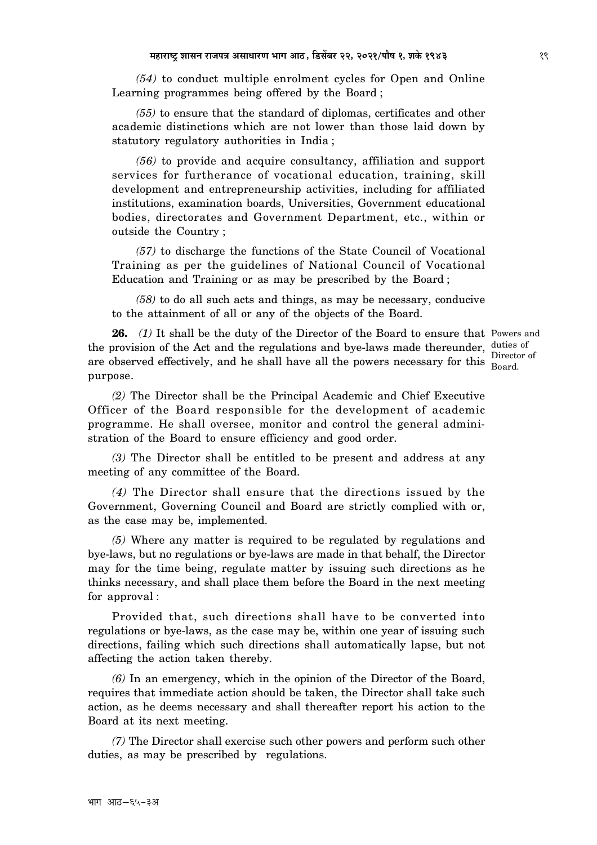*(54)* to conduct multiple enrolment cycles for Open and Online Learning programmes being offered by the Board ;

*(55)* to ensure that the standard of diplomas, certificates and other academic distinctions which are not lower than those laid down by statutory regulatory authorities in India ;

*(56)* to provide and acquire consultancy, affiliation and support services for furtherance of vocational education, training, skill development and entrepreneurship activities, including for affiliated institutions, examination boards, Universities, Government educational bodies, directorates and Government Department, etc., within or outside the Country ;

*(57)* to discharge the functions of the State Council of Vocational Training as per the guidelines of National Council of Vocational Education and Training or as may be prescribed by the Board ;

*(58)* to do all such acts and things, as may be necessary, conducive to the attainment of all or any of the objects of the Board.

**26.** *(1)* It shall be the duty of the Director of the Board to ensure that Powers and the provision of the Act and the regulations and bye-laws made thereunder, duties of are observed effectively, and he shall have all the powers necessary for this Board. purpose.

Director of

*(2)* The Director shall be the Principal Academic and Chief Executive Officer of the Board responsible for the development of academic programme. He shall oversee, monitor and control the general administration of the Board to ensure efficiency and good order.

*(3)* The Director shall be entitled to be present and address at any meeting of any committee of the Board.

*(4)* The Director shall ensure that the directions issued by the Government, Governing Council and Board are strictly complied with or, as the case may be, implemented.

*(5)* Where any matter is required to be regulated by regulations and bye-laws, but no regulations or bye-laws are made in that behalf, the Director may for the time being, regulate matter by issuing such directions as he thinks necessary, and shall place them before the Board in the next meeting for approval :

Provided that, such directions shall have to be converted into regulations or bye-laws, as the case may be, within one year of issuing such directions, failing which such directions shall automatically lapse, but not affecting the action taken thereby.

*(6)* In an emergency, which in the opinion of the Director of the Board, requires that immediate action should be taken, the Director shall take such action, as he deems necessary and shall thereafter report his action to the Board at its next meeting.

*(7)* The Director shall exercise such other powers and perform such other duties, as may be prescribed by regulations.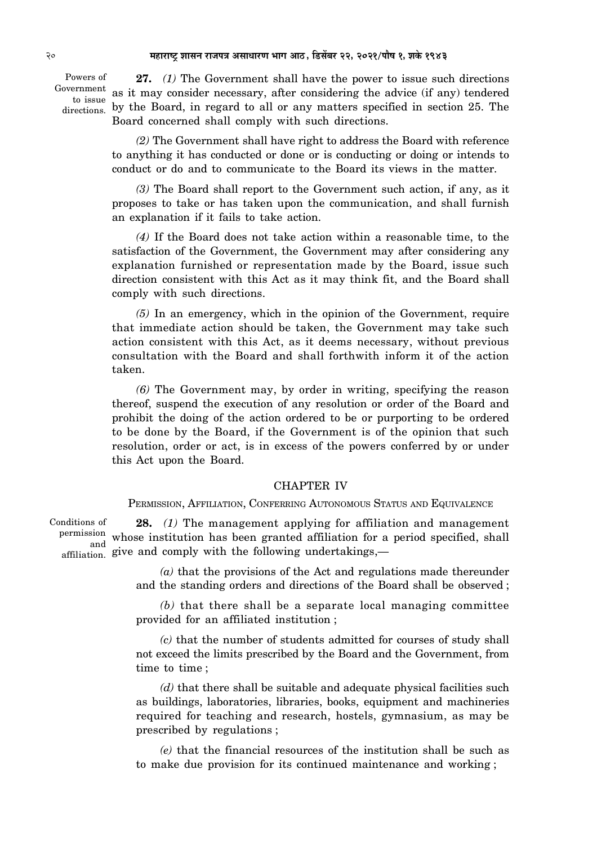Powers of to issue

**27.** *(1)* The Government shall have the power to issue such directions Government as it may consider necessary, after considering the advice (if any) tendered directions. by the Board, in regard to all or any matters specified in section 25. The Board concerned shall comply with such directions.

> *(2)* The Government shall have right to address the Board with reference to anything it has conducted or done or is conducting or doing or intends to conduct or do and to communicate to the Board its views in the matter.

> *(3)* The Board shall report to the Government such action, if any, as it proposes to take or has taken upon the communication, and shall furnish an explanation if it fails to take action.

> *(4)* If the Board does not take action within a reasonable time, to the satisfaction of the Government, the Government may after considering any explanation furnished or representation made by the Board, issue such direction consistent with this Act as it may think fit, and the Board shall comply with such directions.

> *(5)* In an emergency, which in the opinion of the Government, require that immediate action should be taken, the Government may take such action consistent with this Act, as it deems necessary, without previous consultation with the Board and shall forthwith inform it of the action taken.

> *(6)* The Government may, by order in writing, specifying the reason thereof, suspend the execution of any resolution or order of the Board and prohibit the doing of the action ordered to be or purporting to be ordered to be done by the Board, if the Government is of the opinion that such resolution, order or act, is in excess of the powers conferred by or under this Act upon the Board.

#### CHAPTER IV

PERMISSION, AFFILIATION, CONFERRING AUTONOMOUS STATUS AND EQUIVALENCE

**28.** *(1)* The management applying for affiliation and management permission whose institution has been granted affiliation for a period specified, shall affiliation. give and comply with the following undertakings,— Conditions of and

> *(a)* that the provisions of the Act and regulations made thereunder and the standing orders and directions of the Board shall be observed ;

> *(b)* that there shall be a separate local managing committee provided for an affiliated institution ;

> *(c)* that the number of students admitted for courses of study shall not exceed the limits prescribed by the Board and the Government, from time to time ;

> *(d)* that there shall be suitable and adequate physical facilities such as buildings, laboratories, libraries, books, equipment and machineries required for teaching and research, hostels, gymnasium, as may be prescribed by regulations ;

> *(e)* that the financial resources of the institution shall be such as to make due provision for its continued maintenance and working ;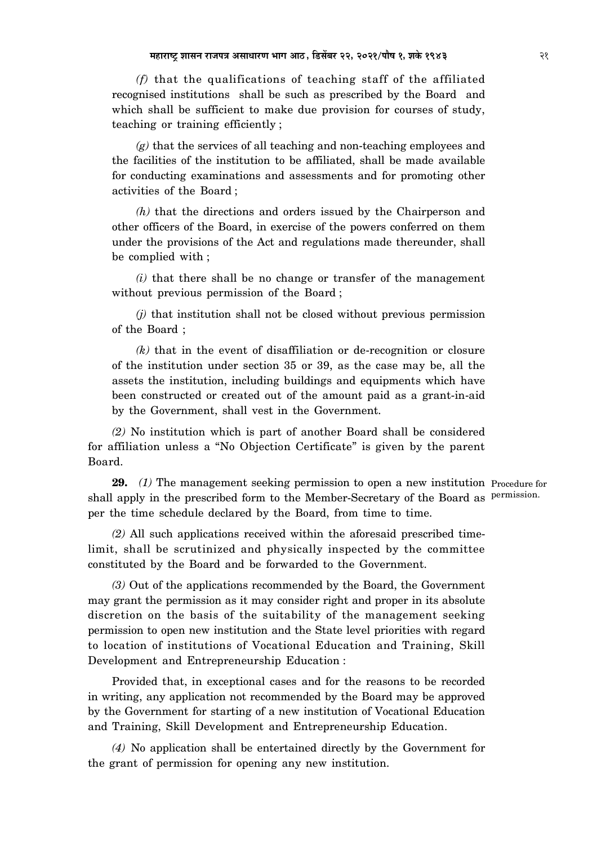*(f)* that the qualifications of teaching staff of the affiliated recognised institutions shall be such as prescribed by the Board and which shall be sufficient to make due provision for courses of study, teaching or training efficiently ;

*(g)* that the services of all teaching and non-teaching employees and the facilities of the institution to be affiliated, shall be made available for conducting examinations and assessments and for promoting other activities of the Board ;

*(h)* that the directions and orders issued by the Chairperson and other officers of the Board, in exercise of the powers conferred on them under the provisions of the Act and regulations made thereunder, shall be complied with ;

*(i)* that there shall be no change or transfer of the management without previous permission of the Board ;

*(j)* that institution shall not be closed without previous permission of the Board ;

*(k)* that in the event of disaffiliation or de-recognition or closure of the institution under section 35 or 39, as the case may be, all the assets the institution, including buildings and equipments which have been constructed or created out of the amount paid as a grant-in-aid by the Government, shall vest in the Government.

*(2)* No institution which is part of another Board shall be considered for affiliation unless a "No Objection Certificate" is given by the parent Board.

29. (1) The management seeking permission to open a new institution Procedure for shall apply in the prescribed form to the Member-Secretary of the Board as <sup>permission.</sup> per the time schedule declared by the Board, from time to time.

*(2)* All such applications received within the aforesaid prescribed timelimit, shall be scrutinized and physically inspected by the committee constituted by the Board and be forwarded to the Government.

*(3)* Out of the applications recommended by the Board, the Government may grant the permission as it may consider right and proper in its absolute discretion on the basis of the suitability of the management seeking permission to open new institution and the State level priorities with regard to location of institutions of Vocational Education and Training, Skill Development and Entrepreneurship Education :

Provided that, in exceptional cases and for the reasons to be recorded in writing, any application not recommended by the Board may be approved by the Government for starting of a new institution of Vocational Education and Training, Skill Development and Entrepreneurship Education.

*(4)* No application shall be entertained directly by the Government for the grant of permission for opening any new institution.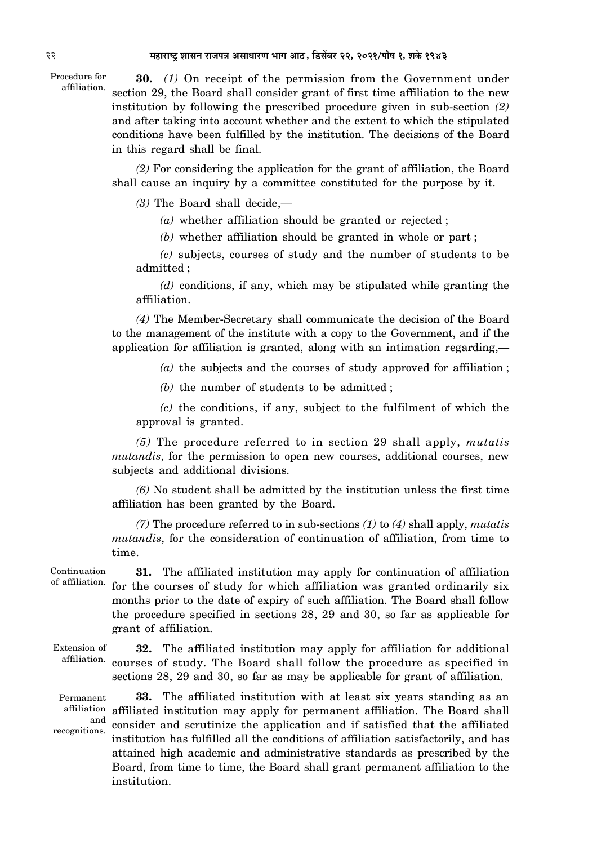Procedure for affiliation.

**30.** *(1)* On receipt of the permission from the Government under section 29, the Board shall consider grant of first time affiliation to the new institution by following the prescribed procedure given in sub-section *(2)* and after taking into account whether and the extent to which the stipulated conditions have been fulfilled by the institution. The decisions of the Board in this regard shall be final.

*(2)* For considering the application for the grant of affiliation, the Board shall cause an inquiry by a committee constituted for the purpose by it.

*(3)* The Board shall decide,—

*(a)* whether affiliation should be granted or rejected ;

*(b)* whether affiliation should be granted in whole or part ;

*(c)* subjects, courses of study and the number of students to be admitted ;

*(d)* conditions, if any, which may be stipulated while granting the affiliation.

*(4)* The Member-Secretary shall communicate the decision of the Board to the management of the institute with a copy to the Government, and if the application for affiliation is granted, along with an intimation regarding,—

*(a)* the subjects and the courses of study approved for affiliation ;

*(b)* the number of students to be admitted ;

*(c)* the conditions, if any, subject to the fulfilment of which the approval is granted.

*(5)* The procedure referred to in section 29 shall apply, *mutatis mutandis*, for the permission to open new courses, additional courses, new subjects and additional divisions.

*(6)* No student shall be admitted by the institution unless the first time affiliation has been granted by the Board.

*(7)* The procedure referred to in sub-sections *(1)* to *(4)* shall apply, *mutatis mutandis*, for the consideration of continuation of affiliation, from time to time.

Continuation of affiliation.

**31.** The affiliated institution may apply for continuation of affiliation for the courses of study for which affiliation was granted ordinarily six months prior to the date of expiry of such affiliation. The Board shall follow the procedure specified in sections 28, 29 and 30, so far as applicable for grant of affiliation.

**32.** The affiliated institution may apply for affiliation for additional affiliation. courses of study. The Board shall follow the procedure as specified in sections 28, 29 and 30, so far as may be applicable for grant of affiliation. Extension of

**33.** The affiliated institution with at least six years standing as an affiliation affiliated institution may apply for permanent affiliation. The Board shall consider and scrutinize the application and if satisfied that the affiliated institution has fulfilled all the conditions of affiliation satisfactorily, and has attained high academic and administrative standards as prescribed by the Board, from time to time, the Board shall grant permanent affiliation to the institution. Permanent and recognitions.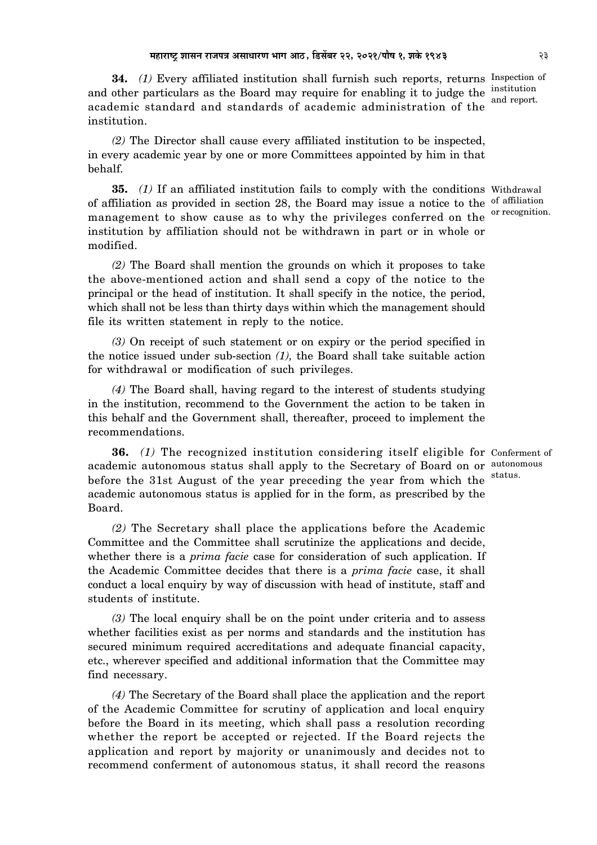**34.** *(1)* Every affiliated institution shall furnish such reports, returns Inspection of and other particulars as the Board may require for enabling it to judge the institution academic standard and standards of academic administration of the and report.

*(2)* The Director shall cause every affiliated institution to be inspected, in every academic year by one or more Committees appointed by him in that behalf.

institution.

**35.** *(1)* If an affiliated institution fails to comply with the conditions Withdrawal of affiliation as provided in section 28, the Board may issue a notice to the of affiliation management to show cause as to why the privileges conferred on the <sup>or recognition.</sup> institution by affiliation should not be withdrawn in part or in whole or modified.

*(2)* The Board shall mention the grounds on which it proposes to take the above-mentioned action and shall send a copy of the notice to the principal or the head of institution. It shall specify in the notice, the period, which shall not be less than thirty days within which the management should file its written statement in reply to the notice.

*(3)* On receipt of such statement or on expiry or the period specified in the notice issued under sub-section *(1),* the Board shall take suitable action for withdrawal or modification of such privileges.

*(4)* The Board shall, having regard to the interest of students studying in the institution, recommend to the Government the action to be taken in this behalf and the Government shall, thereafter, proceed to implement the recommendations.

**36.** *(1)* The recognized institution considering itself eligible for Conferment of academic autonomous status shall apply to the Secretary of Board on or autonomous before the 31st August of the year preceding the year from which the academic autonomous status is applied for in the form, as prescribed by the Board.

*(2)* The Secretary shall place the applications before the Academic Committee and the Committee shall scrutinize the applications and decide, whether there is a *prima facie* case for consideration of such application. If the Academic Committee decides that there is a *prima facie* case, it shall conduct a local enquiry by way of discussion with head of institute, staff and students of institute.

*(3)* The local enquiry shall be on the point under criteria and to assess whether facilities exist as per norms and standards and the institution has secured minimum required accreditations and adequate financial capacity, etc., wherever specified and additional information that the Committee may find necessary.

*(4)* The Secretary of the Board shall place the application and the report of the Academic Committee for scrutiny of application and local enquiry before the Board in its meeting, which shall pass a resolution recording whether the report be accepted or rejected. If the Board rejects the application and report by majority or unanimously and decides not to recommend conferment of autonomous status, it shall record the reasons

status.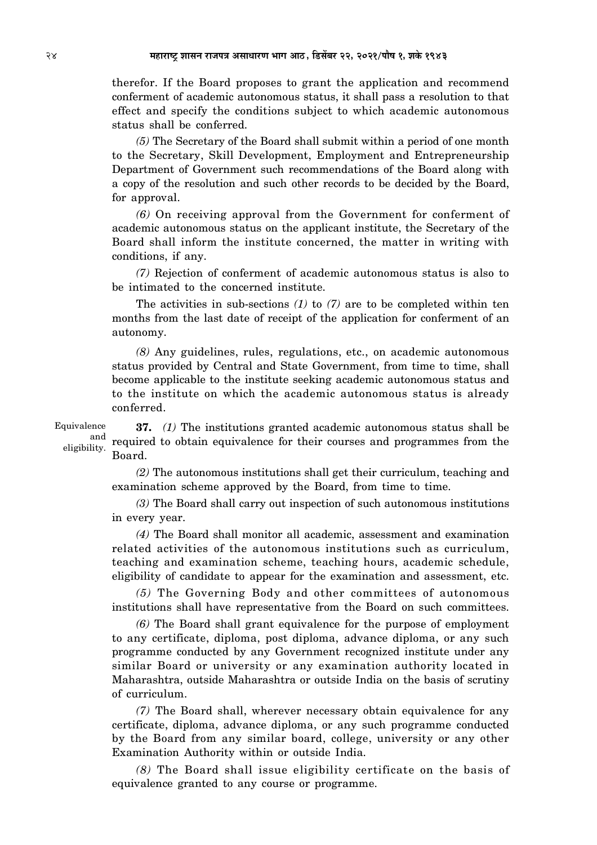therefor. If the Board proposes to grant the application and recommend conferment of academic autonomous status, it shall pass a resolution to that effect and specify the conditions subject to which academic autonomous status shall be conferred.

*(5)* The Secretary of the Board shall submit within a period of one month to the Secretary, Skill Development, Employment and Entrepreneurship Department of Government such recommendations of the Board along with a copy of the resolution and such other records to be decided by the Board, for approval.

*(6)* On receiving approval from the Government for conferment of academic autonomous status on the applicant institute, the Secretary of the Board shall inform the institute concerned, the matter in writing with conditions, if any.

*(7)* Rejection of conferment of academic autonomous status is also to be intimated to the concerned institute.

The activities in sub-sections *(1)* to *(7)* are to be completed within ten months from the last date of receipt of the application for conferment of an autonomy.

*(8)* Any guidelines, rules, regulations, etc., on academic autonomous status provided by Central and State Government, from time to time, shall become applicable to the institute seeking academic autonomous status and to the institute on which the academic autonomous status is already conferred.

Equivalence and eligibility.

**37.** *(1)* The institutions granted academic autonomous status shall be required to obtain equivalence for their courses and programmes from the Board.

*(2)* The autonomous institutions shall get their curriculum, teaching and examination scheme approved by the Board, from time to time.

*(3)* The Board shall carry out inspection of such autonomous institutions in every year.

*(4)* The Board shall monitor all academic, assessment and examination related activities of the autonomous institutions such as curriculum, teaching and examination scheme, teaching hours, academic schedule, eligibility of candidate to appear for the examination and assessment, etc.

*(5)* The Governing Body and other committees of autonomous institutions shall have representative from the Board on such committees.

*(6)* The Board shall grant equivalence for the purpose of employment to any certificate, diploma, post diploma, advance diploma, or any such programme conducted by any Government recognized institute under any similar Board or university or any examination authority located in Maharashtra, outside Maharashtra or outside India on the basis of scrutiny of curriculum.

*(7)* The Board shall, wherever necessary obtain equivalence for any certificate, diploma, advance diploma, or any such programme conducted by the Board from any similar board, college, university or any other Examination Authority within or outside India.

*(8)* The Board shall issue eligibility certificate on the basis of equivalence granted to any course or programme.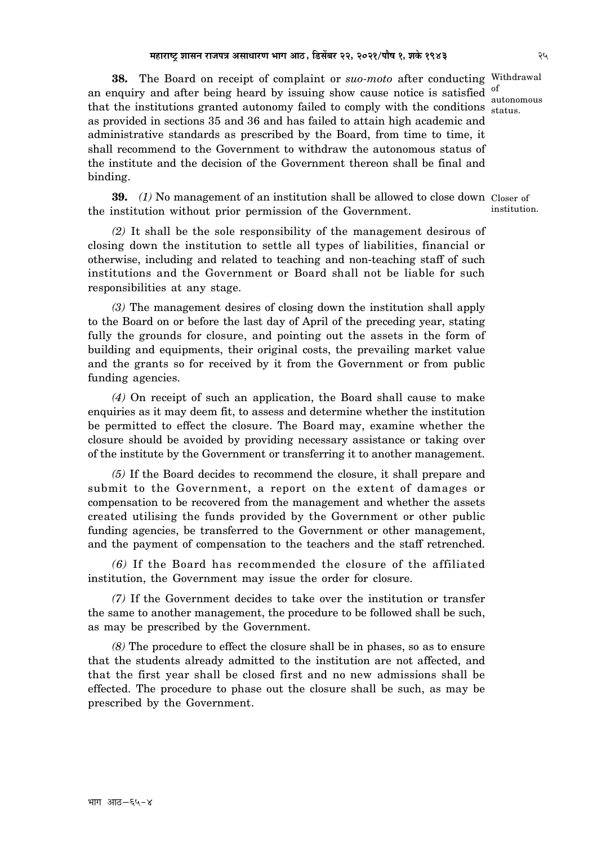**38.** The Board on receipt of complaint or *suo-moto* after conducting Withdrawal an enquiry and after being heard by issuing show cause notice is satisfied of that the institutions granted autonomy failed to comply with the conditions status. as provided in sections 35 and 36 and has failed to attain high academic and administrative standards as prescribed by the Board, from time to time, it shall recommend to the Government to withdraw the autonomous status of the institute and the decision of the Government thereon shall be final and binding.

**39.** (1) No management of an institution shall be allowed to close down Closer of the institution without prior permission of the Government.

*(2)* It shall be the sole responsibility of the management desirous of closing down the institution to settle all types of liabilities, financial or otherwise, including and related to teaching and non-teaching staff of such institutions and the Government or Board shall not be liable for such responsibilities at any stage.

*(3)* The management desires of closing down the institution shall apply to the Board on or before the last day of April of the preceding year, stating fully the grounds for closure, and pointing out the assets in the form of building and equipments, their original costs, the prevailing market value and the grants so for received by it from the Government or from public funding agencies.

*(4)* On receipt of such an application, the Board shall cause to make enquiries as it may deem fit, to assess and determine whether the institution be permitted to effect the closure. The Board may, examine whether the closure should be avoided by providing necessary assistance or taking over of the institute by the Government or transferring it to another management.

*(5)* If the Board decides to recommend the closure, it shall prepare and submit to the Government, a report on the extent of damages or compensation to be recovered from the management and whether the assets created utilising the funds provided by the Government or other public funding agencies, be transferred to the Government or other management, and the payment of compensation to the teachers and the staff retrenched.

*(6)* If the Board has recommended the closure of the affiliated institution, the Government may issue the order for closure.

*(7)* If the Government decides to take over the institution or transfer the same to another management, the procedure to be followed shall be such, as may be prescribed by the Government.

*(8)* The procedure to effect the closure shall be in phases, so as to ensure that the students already admitted to the institution are not affected, and that the first year shall be closed first and no new admissions shall be effected. The procedure to phase out the closure shall be such, as may be prescribed by the Government.

autonomous

institution.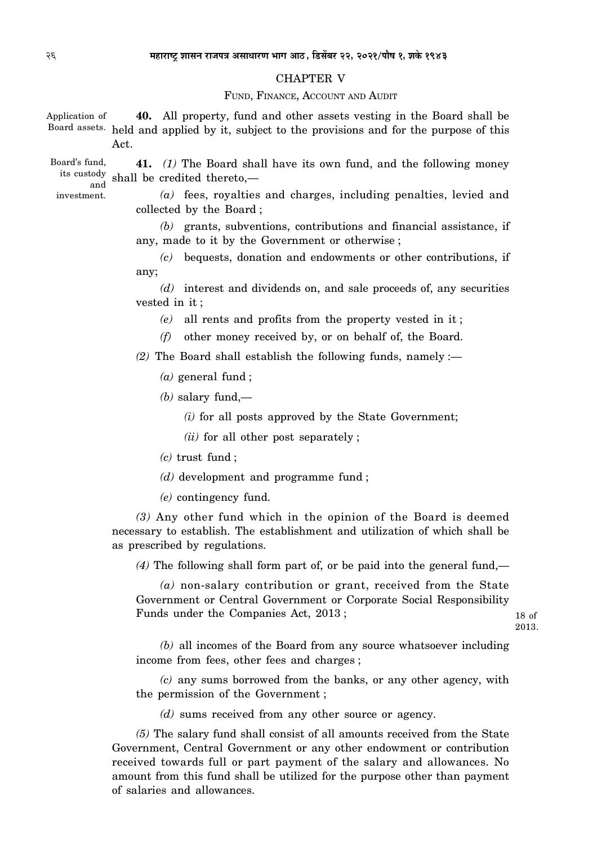#### CHAPTER V

### FUND, FINANCE, ACCOUNT AND AUDIT

**40.** All property, fund and other assets vesting in the Board shall be Board assets. held and applied by it, subject to the provisions and for the purpose of this Act. Application of

**41.** *(1)* The Board shall have its own fund, and the following money its custody shall be credited thereto,— Board's fund, and

investment.

*(a)* fees, royalties and charges, including penalties, levied and collected by the Board ;

*(b)* grants, subventions, contributions and financial assistance, if any, made to it by the Government or otherwise ;

*(c)* bequests, donation and endowments or other contributions, if any;

*(d)* interest and dividends on, and sale proceeds of, any securities vested in it ;

*(e)* all rents and profits from the property vested in it ;

*(f)* other money received by, or on behalf of, the Board.

*(2)* The Board shall establish the following funds, namely :—

- *(a)* general fund ;
- *(b)* salary fund,—
	- *(i)* for all posts approved by the State Government;

*(ii)* for all other post separately ;

- *(c)* trust fund ;
- *(d)* development and programme fund ;

*(e)* contingency fund.

*(3)* Any other fund which in the opinion of the Board is deemed necessary to establish. The establishment and utilization of which shall be as prescribed by regulations.

*(4)* The following shall form part of, or be paid into the general fund,—

*(a)* non-salary contribution or grant, received from the State Government or Central Government or Corporate Social Responsibility Funds under the Companies Act, 2013 ;

*(b)* all incomes of the Board from any source whatsoever including income from fees, other fees and charges ;

*(c)* any sums borrowed from the banks, or any other agency, with the permission of the Government ;

*(d)* sums received from any other source or agency.

*(5)* The salary fund shall consist of all amounts received from the State Government, Central Government or any other endowment or contribution received towards full or part payment of the salary and allowances. No amount from this fund shall be utilized for the purpose other than payment of salaries and allowances.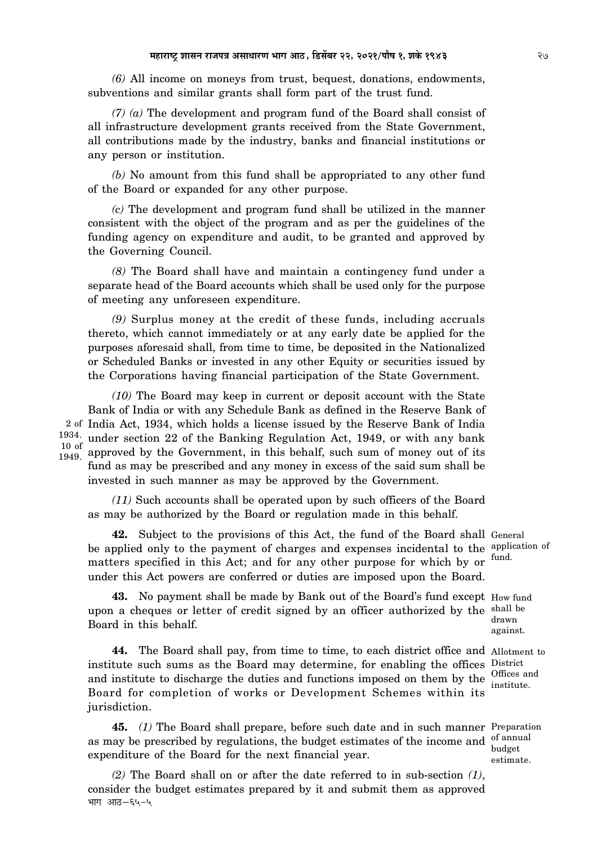*(6)* All income on moneys from trust, bequest, donations, endowments, subventions and similar grants shall form part of the trust fund.

*(7) (a)* The development and program fund of the Board shall consist of all infrastructure development grants received from the State Government, all contributions made by the industry, banks and financial institutions or any person or institution.

*(b)* No amount from this fund shall be appropriated to any other fund of the Board or expanded for any other purpose.

*(c)* The development and program fund shall be utilized in the manner consistent with the object of the program and as per the guidelines of the funding agency on expenditure and audit, to be granted and approved by the Governing Council.

*(8)* The Board shall have and maintain a contingency fund under a separate head of the Board accounts which shall be used only for the purpose of meeting any unforeseen expenditure.

*(9)* Surplus money at the credit of these funds, including accruals thereto, which cannot immediately or at any early date be applied for the purposes aforesaid shall, from time to time, be deposited in the Nationalized or Scheduled Banks or invested in any other Equity or securities issued by the Corporations having financial participation of the State Government.

*(10)* The Board may keep in current or deposit account with the State Bank of India or with any Schedule Bank as defined in the Reserve Bank of 2 of India Act, 1934, which holds a license issued by the Reserve Bank of India <sup>1934</sup> under section 22 of the Banking Regulation Act, 1949, or with any bank  $\frac{10}{1049}$  approved by the Government, in this behalf, such sum of money out of its fund as may be prescribed and any money in excess of the said sum shall be invested in such manner as may be approved by the Government.

1949.

*(11)* Such accounts shall be operated upon by such officers of the Board as may be authorized by the Board or regulation made in this behalf.

**42.** Subject to the provisions of this Act, the fund of the Board shall General be applied only to the payment of charges and expenses incidental to the application of matters specified in this Act; and for any other purpose for which by or fund. under this Act powers are conferred or duties are imposed upon the Board.

**43.** No payment shall be made by Bank out of the Board's fund except How fund upon a cheques or letter of credit signed by an officer authorized by the shall be Board in this behalf.

**44.** The Board shall pay, from time to time, to each district office and Allotment to institute such sums as the Board may determine, for enabling the offices District and institute to discharge the duties and functions imposed on them by the <sup>Offices and</sup> Board for completion of works or Development Schemes within its jurisdiction.

**45.** *(1)* The Board shall prepare, before such date and in such manner Preparation as may be prescribed by regulations, the budget estimates of the income and <sup>of annual</sup> expenditure of the Board for the next financial year.

*(2)* The Board shall on or after the date referred to in sub-section *(1)*, consider the budget estimates prepared by it and submit them as approved भाग आठ--६५-५

drawn against.

institute.

budget estimate.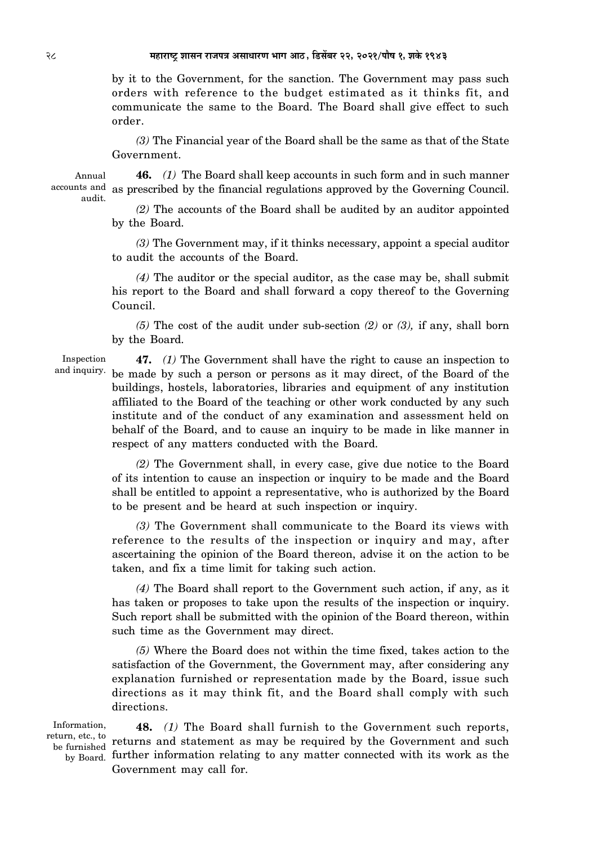by it to the Government, for the sanction. The Government may pass such orders with reference to the budget estimated as it thinks fit, and communicate the same to the Board. The Board shall give effect to such order.

*(3)* The Financial year of the Board shall be the same as that of the State Government.

Annual audit.

**46.** *(1)* The Board shall keep accounts in such form and in such manner accounts and as prescribed by the financial regulations approved by the Governing Council.

> *(2)* The accounts of the Board shall be audited by an auditor appointed by the Board.

> *(3)* The Government may, if it thinks necessary, appoint a special auditor to audit the accounts of the Board.

> *(4)* The auditor or the special auditor, as the case may be, shall submit his report to the Board and shall forward a copy thereof to the Governing Council.

> *(5)* The cost of the audit under sub-section *(2)* or *(3),* if any, shall born by the Board.

Inspection and inquiry.

**47.** *(1)* The Government shall have the right to cause an inspection to be made by such a person or persons as it may direct, of the Board of the buildings, hostels, laboratories, libraries and equipment of any institution affiliated to the Board of the teaching or other work conducted by any such institute and of the conduct of any examination and assessment held on behalf of the Board, and to cause an inquiry to be made in like manner in respect of any matters conducted with the Board.

*(2)* The Government shall, in every case, give due notice to the Board of its intention to cause an inspection or inquiry to be made and the Board shall be entitled to appoint a representative, who is authorized by the Board to be present and be heard at such inspection or inquiry.

*(3)* The Government shall communicate to the Board its views with reference to the results of the inspection or inquiry and may, after ascertaining the opinion of the Board thereon, advise it on the action to be taken, and fix a time limit for taking such action.

*(4)* The Board shall report to the Government such action, if any, as it has taken or proposes to take upon the results of the inspection or inquiry. Such report shall be submitted with the opinion of the Board thereon, within such time as the Government may direct.

*(5)* Where the Board does not within the time fixed, takes action to the satisfaction of the Government, the Government may, after considering any explanation furnished or representation made by the Board, issue such directions as it may think fit, and the Board shall comply with such directions.

Information, be furnished

**48.** *(1)* The Board shall furnish to the Government such reports, return, etc., to returns and statement as may be required by the Government and such by Board. further information relating to any matter connected with its work as the Government may call for.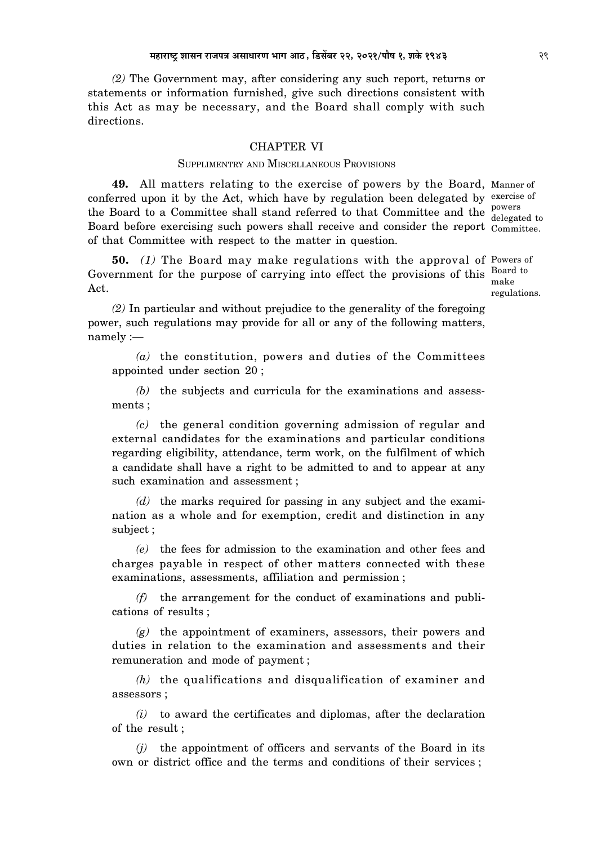*(2)* The Government may, after considering any such report, returns or statements or information furnished, give such directions consistent with this Act as may be necessary, and the Board shall comply with such directions.

#### CHAPTER VI

### SUPPLIMENTRY AND MISCELLANEOUS PROVISIONS

**49.** All matters relating to the exercise of powers by the Board, Manner of conferred upon it by the Act, which have by regulation been delegated by exercise of the Board to a Committee shall stand referred to that Committee and the powers Board before exercising such powers shall receive and consider the report Committee. of that Committee with respect to the matter in question.

**50.** *(1)* The Board may make regulations with the approval of Powers of Government for the purpose of carrying into effect the provisions of this <sup>Board to</sup> Act. make

delegated to

regulations.

*(2)* In particular and without prejudice to the generality of the foregoing power, such regulations may provide for all or any of the following matters, namely :—

*(a)* the constitution, powers and duties of the Committees appointed under section 20 ;

*(b)* the subjects and curricula for the examinations and assessments ;

*(c)* the general condition governing admission of regular and external candidates for the examinations and particular conditions regarding eligibility, attendance, term work, on the fulfilment of which a candidate shall have a right to be admitted to and to appear at any such examination and assessment ;

*(d)* the marks required for passing in any subject and the examination as a whole and for exemption, credit and distinction in any subject ;

*(e)* the fees for admission to the examination and other fees and charges payable in respect of other matters connected with these examinations, assessments, affiliation and permission ;

*(f)* the arrangement for the conduct of examinations and publications of results ;

*(g)* the appointment of examiners, assessors, their powers and duties in relation to the examination and assessments and their remuneration and mode of payment ;

*(h)* the qualifications and disqualification of examiner and assessors ;

*(i)* to award the certificates and diplomas, after the declaration of the result ;

*(j)* the appointment of officers and servants of the Board in its own or district office and the terms and conditions of their services ;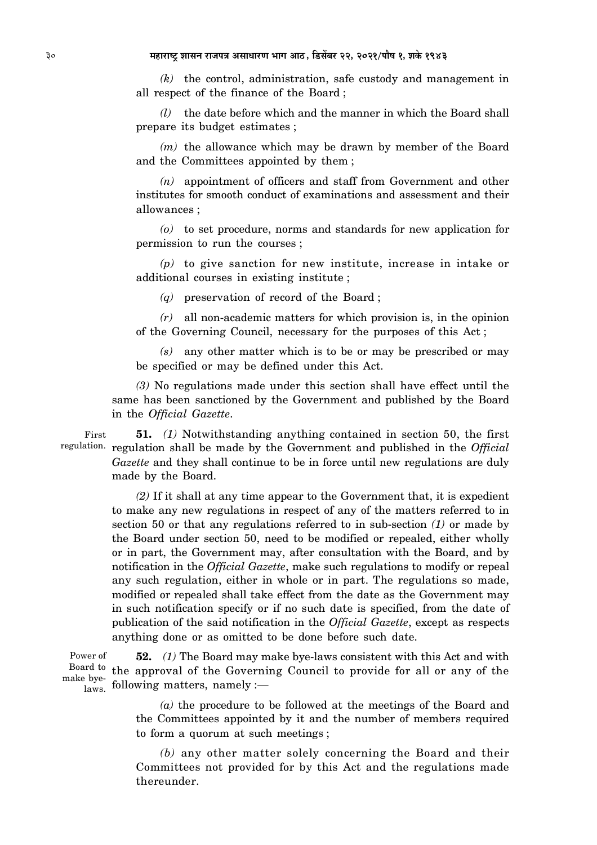*(k)* the control, administration, safe custody and management in all respect of the finance of the Board ;

*(l)* the date before which and the manner in which the Board shall prepare its budget estimates ;

*(m)* the allowance which may be drawn by member of the Board and the Committees appointed by them ;

*(n)* appointment of officers and staff from Government and other institutes for smooth conduct of examinations and assessment and their allowances ;

*(o)* to set procedure, norms and standards for new application for permission to run the courses ;

*(p)* to give sanction for new institute, increase in intake or additional courses in existing institute ;

*(q)* preservation of record of the Board ;

*(r)* all non-academic matters for which provision is, in the opinion of the Governing Council, necessary for the purposes of this Act ;

*(s)* any other matter which is to be or may be prescribed or may be specified or may be defined under this Act.

*(3)* No regulations made under this section shall have effect until the same has been sanctioned by the Government and published by the Board in the *Official Gazette*.

**51.** *(1)* Notwithstanding anything contained in section 50, the first regulation. regulation shall be made by the Government and published in the *Official Gazette* and they shall continue to be in force until new regulations are duly made by the Board. First

> *(2)* If it shall at any time appear to the Government that, it is expedient to make any new regulations in respect of any of the matters referred to in section 50 or that any regulations referred to in sub-section *(1)* or made by the Board under section 50, need to be modified or repealed, either wholly or in part, the Government may, after consultation with the Board, and by notification in the *Official Gazette*, make such regulations to modify or repeal any such regulation, either in whole or in part. The regulations so made, modified or repealed shall take effect from the date as the Government may in such notification specify or if no such date is specified, from the date of publication of the said notification in the *Official Gazette*, except as respects anything done or as omitted to be done before such date.

**52.** *(1)* The Board may make bye-laws consistent with this Act and with Board to the approval of the Governing Council to provide for all or any of the make bye-<br>laws following matters, namely :— Power of laws.

> *(a)* the procedure to be followed at the meetings of the Board and the Committees appointed by it and the number of members required to form a quorum at such meetings ;

> *(b)* any other matter solely concerning the Board and their Committees not provided for by this Act and the regulations made thereunder.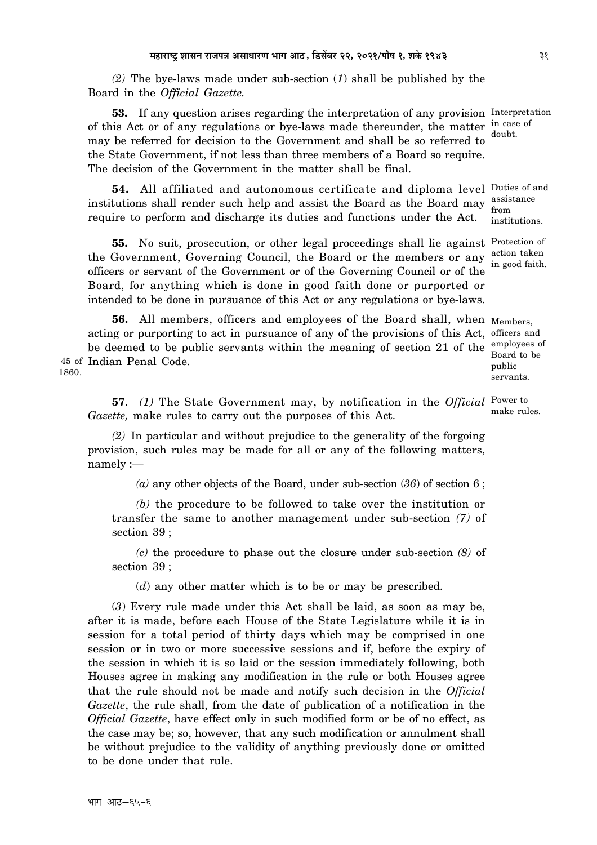*(2)* The bye-laws made under sub-section (*1*) shall be published by the Board in the *Official Gazette.*

**53.** If any question arises regarding the interpretation of any provision Interpretation of this Act or of any regulations or bye-laws made thereunder, the matter  $\frac{in \text{ case of}}{1 + k}$ may be referred for decision to the Government and shall be so referred to the State Government, if not less than three members of a Board so require. The decision of the Government in the matter shall be final. doubt.

**54.** All affiliated and autonomous certificate and diploma level Duties of and institutions shall render such help and assist the Board as the Board may  $\frac{\text{assistance}}{\text{from}}$ require to perform and discharge its duties and functions under the Act.

**55.** No suit, prosecution, or other legal proceedings shall lie against Protection of the Government, Governing Council, the Board or the members or any officers or servant of the Government or of the Governing Council or of the Board, for anything which is done in good faith done or purported or intended to be done in pursuance of this Act or any regulations or bye-laws.

**56.** All members, officers and employees of the Board shall, when Members, acting or purporting to act in pursuance of any of the provisions of this Act, officers and be deemed to be public servants within the meaning of section 21 of the employees of 45 of Indian Penal Code. 1860.

Board to be public servants.

**57**. *(1)* The State Government may, by notification in the *Official* Power to *Gazette,* make rules to carry out the purposes of this Act. make rules.

*(2)* In particular and without prejudice to the generality of the forgoing provision, such rules may be made for all or any of the following matters, namely :—

*(a)* any other objects of the Board, under sub-section (*36*) of section 6 ;

*(b)* the procedure to be followed to take over the institution or transfer the same to another management under sub-section *(7)* of section 39 ;

*(c)* the procedure to phase out the closure under sub-section *(8)* of section 39 ;

(*d*) any other matter which is to be or may be prescribed.

(*3*) Every rule made under this Act shall be laid, as soon as may be, after it is made, before each House of the State Legislature while it is in session for a total period of thirty days which may be comprised in one session or in two or more successive sessions and if, before the expiry of the session in which it is so laid or the session immediately following, both Houses agree in making any modification in the rule or both Houses agree that the rule should not be made and notify such decision in the *Official Gazette*, the rule shall, from the date of publication of a notification in the *Official Gazette*, have effect only in such modified form or be of no effect, as the case may be; so, however, that any such modification or annulment shall be without prejudice to the validity of anything previously done or omitted to be done under that rule.

from institutions.

action taken in good faith.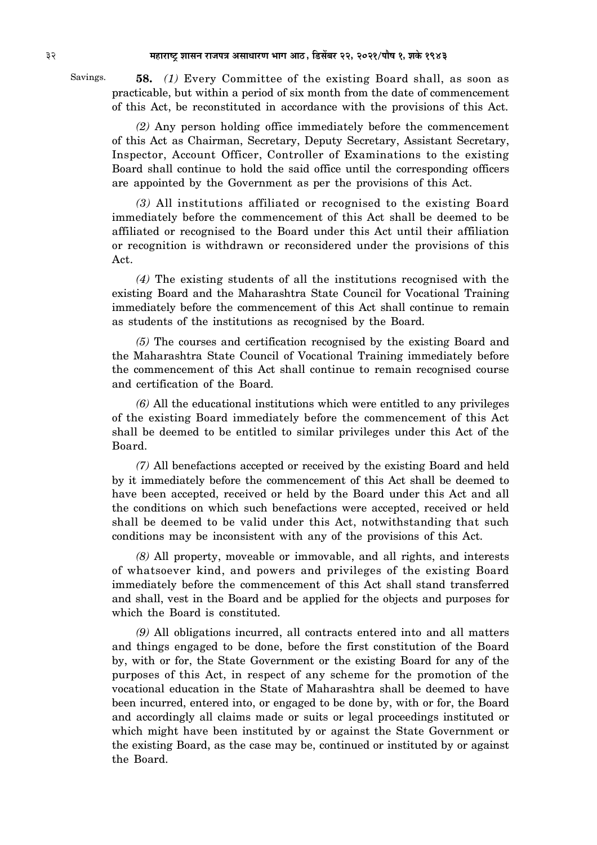Savings.

**58.** *(1)* Every Committee of the existing Board shall, as soon as practicable, but within a period of six month from the date of commencement of this Act, be reconstituted in accordance with the provisions of this Act.

*(2)* Any person holding office immediately before the commencement of this Act as Chairman, Secretary, Deputy Secretary, Assistant Secretary, Inspector, Account Officer, Controller of Examinations to the existing Board shall continue to hold the said office until the corresponding officers are appointed by the Government as per the provisions of this Act.

*(3)* All institutions affiliated or recognised to the existing Board immediately before the commencement of this Act shall be deemed to be affiliated or recognised to the Board under this Act until their affiliation or recognition is withdrawn or reconsidered under the provisions of this Act.

*(4)* The existing students of all the institutions recognised with the existing Board and the Maharashtra State Council for Vocational Training immediately before the commencement of this Act shall continue to remain as students of the institutions as recognised by the Board.

*(5)* The courses and certification recognised by the existing Board and the Maharashtra State Council of Vocational Training immediately before the commencement of this Act shall continue to remain recognised course and certification of the Board.

*(6)* All the educational institutions which were entitled to any privileges of the existing Board immediately before the commencement of this Act shall be deemed to be entitled to similar privileges under this Act of the Board.

*(7)* All benefactions accepted or received by the existing Board and held by it immediately before the commencement of this Act shall be deemed to have been accepted, received or held by the Board under this Act and all the conditions on which such benefactions were accepted, received or held shall be deemed to be valid under this Act, notwithstanding that such conditions may be inconsistent with any of the provisions of this Act.

*(8)* All property, moveable or immovable, and all rights, and interests of whatsoever kind, and powers and privileges of the existing Board immediately before the commencement of this Act shall stand transferred and shall, vest in the Board and be applied for the objects and purposes for which the Board is constituted.

*(9)* All obligations incurred, all contracts entered into and all matters and things engaged to be done, before the first constitution of the Board by, with or for, the State Government or the existing Board for any of the purposes of this Act, in respect of any scheme for the promotion of the vocational education in the State of Maharashtra shall be deemed to have been incurred, entered into, or engaged to be done by, with or for, the Board and accordingly all claims made or suits or legal proceedings instituted or which might have been instituted by or against the State Government or the existing Board, as the case may be, continued or instituted by or against the Board.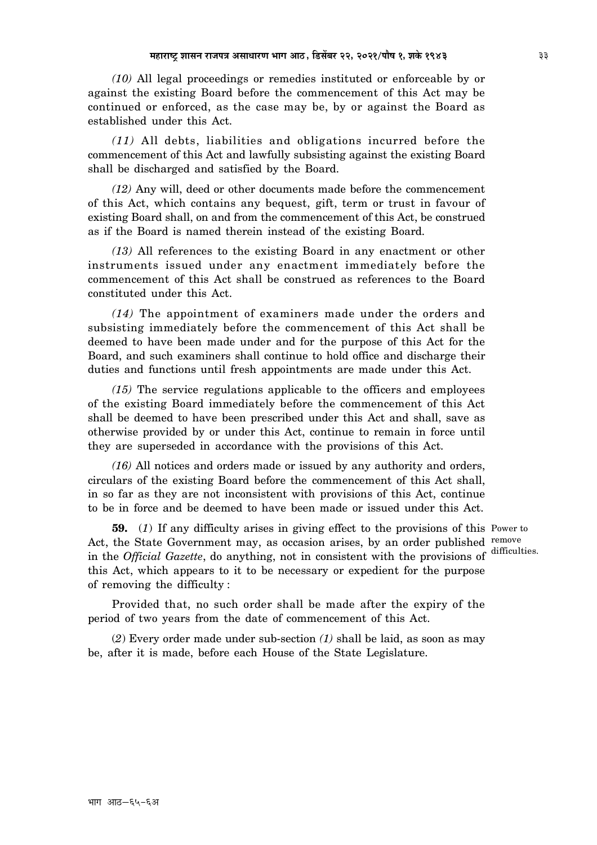*(10)* All legal proceedings or remedies instituted or enforceable by or against the existing Board before the commencement of this Act may be continued or enforced, as the case may be, by or against the Board as established under this Act.

*(11)* All debts, liabilities and obligations incurred before the commencement of this Act and lawfully subsisting against the existing Board shall be discharged and satisfied by the Board.

*(12)* Any will, deed or other documents made before the commencement of this Act, which contains any bequest, gift, term or trust in favour of existing Board shall, on and from the commencement of this Act, be construed as if the Board is named therein instead of the existing Board.

*(13)* All references to the existing Board in any enactment or other instruments issued under any enactment immediately before the commencement of this Act shall be construed as references to the Board constituted under this Act.

*(14)* The appointment of examiners made under the orders and subsisting immediately before the commencement of this Act shall be deemed to have been made under and for the purpose of this Act for the Board, and such examiners shall continue to hold office and discharge their duties and functions until fresh appointments are made under this Act.

*(15)* The service regulations applicable to the officers and employees of the existing Board immediately before the commencement of this Act shall be deemed to have been prescribed under this Act and shall, save as otherwise provided by or under this Act, continue to remain in force until they are superseded in accordance with the provisions of this Act.

*(16)* All notices and orders made or issued by any authority and orders, circulars of the existing Board before the commencement of this Act shall, in so far as they are not inconsistent with provisions of this Act, continue to be in force and be deemed to have been made or issued under this Act.

**59.** (*1*) If any difficulty arises in giving effect to the provisions of this Power to Act, the State Government may, as occasion arises, by an order published remove in the *Official Gazette*, do anything, not in consistent with the provisions of difficulties. this Act, which appears to it to be necessary or expedient for the purpose of removing the difficulty :

Provided that, no such order shall be made after the expiry of the period of two years from the date of commencement of this Act.

(*2*) Every order made under sub-section *(1)* shall be laid, as soon as may be, after it is made, before each House of the State Legislature.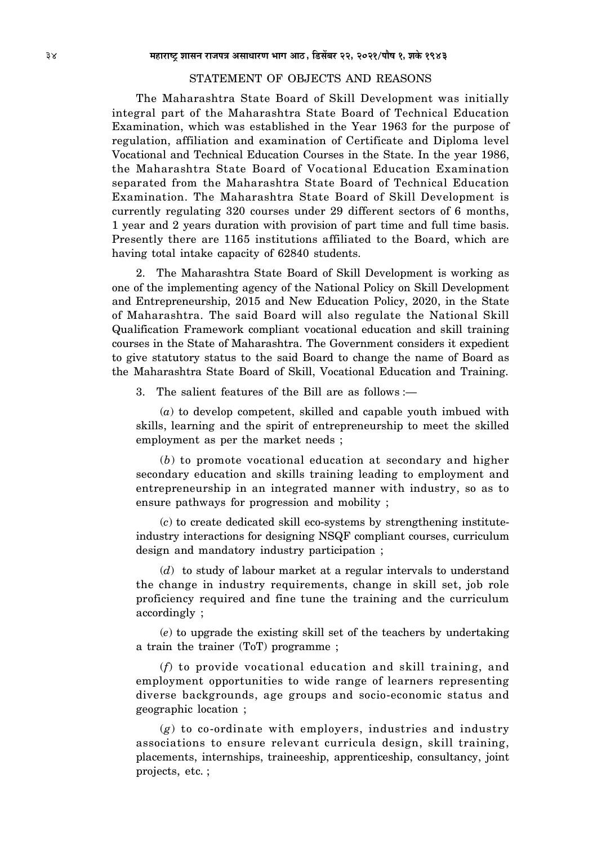#### STATEMENT OF OBJECTS AND REASONS

The Maharashtra State Board of Skill Development was initially integral part of the Maharashtra State Board of Technical Education Examination, which was established in the Year 1963 for the purpose of regulation, affiliation and examination of Certificate and Diploma level Vocational and Technical Education Courses in the State. In the year 1986, the Maharashtra State Board of Vocational Education Examination separated from the Maharashtra State Board of Technical Education Examination. The Maharashtra State Board of Skill Development is currently regulating 320 courses under 29 different sectors of 6 months, 1 year and 2 years duration with provision of part time and full time basis. Presently there are 1165 institutions affiliated to the Board, which are having total intake capacity of 62840 students.

2. The Maharashtra State Board of Skill Development is working as one of the implementing agency of the National Policy on Skill Development and Entrepreneurship, 2015 and New Education Policy, 2020, in the State of Maharashtra. The said Board will also regulate the National Skill Qualification Framework compliant vocational education and skill training courses in the State of Maharashtra. The Government considers it expedient to give statutory status to the said Board to change the name of Board as the Maharashtra State Board of Skill, Vocational Education and Training.

3. The salient features of the Bill are as follows :—

(*a*) to develop competent, skilled and capable youth imbued with skills, learning and the spirit of entrepreneurship to meet the skilled employment as per the market needs ;

(*b*) to promote vocational education at secondary and higher secondary education and skills training leading to employment and entrepreneurship in an integrated manner with industry, so as to ensure pathways for progression and mobility ;

(*c*) to create dedicated skill eco-systems by strengthening instituteindustry interactions for designing NSQF compliant courses, curriculum design and mandatory industry participation ;

(*d*) to study of labour market at a regular intervals to understand the change in industry requirements, change in skill set, job role proficiency required and fine tune the training and the curriculum accordingly ;

(*e*) to upgrade the existing skill set of the teachers by undertaking a train the trainer (ToT) programme ;

(*f*) to provide vocational education and skill training, and employment opportunities to wide range of learners representing diverse backgrounds, age groups and socio-economic status and geographic location ;

(*g*) to co-ordinate with employers, industries and industry associations to ensure relevant curricula design, skill training, placements, internships, traineeship, apprenticeship, consultancy, joint projects, etc. ;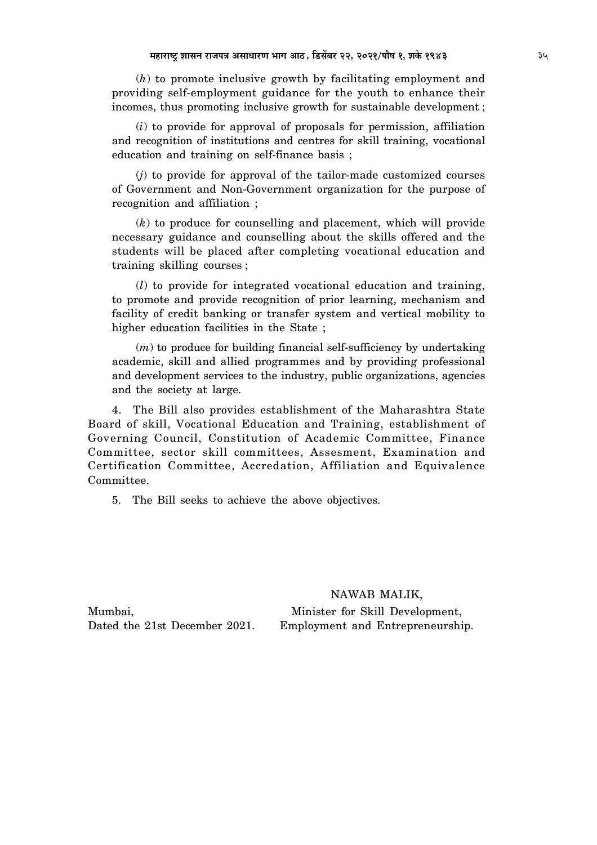$(h)$  to promote inclusive growth by facilitating employment and providing self-employment guidance for the youth to enhance their incomes, thus promoting inclusive growth for sustainable development;

 $(i)$  to provide for approval of proposals for permission, affiliation and recognition of institutions and centres for skill training, vocational education and training on self-finance basis;

 $(j)$  to provide for approval of the tailor-made customized courses of Government and Non-Government organization for the purpose of recognition and affiliation;

 $(k)$  to produce for counselling and placement, which will provide necessary guidance and counselling about the skills offered and the students will be placed after completing vocational education and training skilling courses;

(*l*) to provide for integrated vocational education and training, to promote and provide recognition of prior learning, mechanism and facility of credit banking or transfer system and vertical mobility to higher education facilities in the State;

 $(m)$  to produce for building financial self-sufficiency by undertaking academic, skill and allied programmes and by providing professional and development services to the industry, public organizations, agencies and the society at large.

4. The Bill also provides establishment of the Maharashtra State Board of skill, Vocational Education and Training, establishment of Governing Council, Constitution of Academic Committee, Finance Committee, sector skill committees, Assesment, Examination and Certification Committee, Accredation, Affiliation and Equivalence Committee

5. The Bill seeks to achieve the above objectives.

NAWAB MALIK,

Mumbai. Dated the 21st December 2021.

Minister for Skill Development, Employment and Entrepreneurship.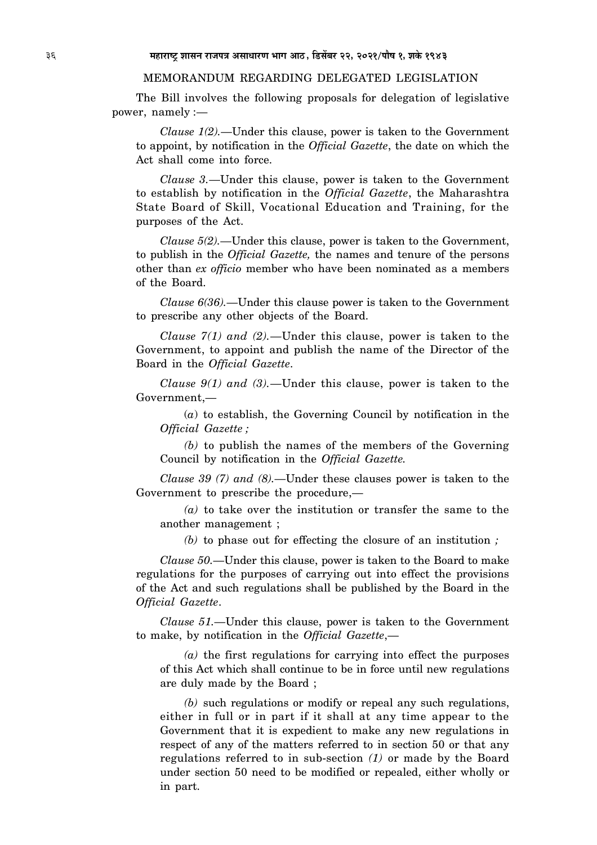### MEMORANDUM REGARDING DELEGATED LEGISLATION

The Bill involves the following proposals for delegation of legislative power, namely :—

*Clause 1(2).—*Under this clause, power is taken to the Government to appoint, by notification in the *Official Gazette*, the date on which the Act shall come into force.

*Clause 3.—*Under this clause, power is taken to the Government to establish by notification in the *Official Gazette*, the Maharashtra State Board of Skill, Vocational Education and Training, for the purposes of the Act.

*Clause 5(2).—*Under this clause, power is taken to the Government, to publish in the *Official Gazette,* the names and tenure of the persons other than *ex officio* member who have been nominated as a members of the Board.

*Clause 6(36).—*Under this clause power is taken to the Government to prescribe any other objects of the Board.

*Clause 7(1) and (2).—*Under this clause, power is taken to the Government, to appoint and publish the name of the Director of the Board in the *Official Gazette*.

*Clause 9(1) and (3).—*Under this clause, power is taken to the Government,—

(*a*) to establish, the Governing Council by notification in the *Official Gazette ;*

*(b)* to publish the names of the members of the Governing Council by notification in the *Official Gazette.*

*Clause 39 (7) and (8).—*Under these clauses power is taken to the Government to prescribe the procedure,—

*(a)* to take over the institution or transfer the same to the another management ;

*(b)* to phase out for effecting the closure of an institution *;*

*Clause 50.—*Under this clause, power is taken to the Board to make regulations for the purposes of carrying out into effect the provisions of the Act and such regulations shall be published by the Board in the *Official Gazette*.

*Clause 51.—*Under this clause, power is taken to the Government to make, by notification in the *Official Gazette*,—

*(a)* the first regulations for carrying into effect the purposes of this Act which shall continue to be in force until new regulations are duly made by the Board ;

*(b)* such regulations or modify or repeal any such regulations, either in full or in part if it shall at any time appear to the Government that it is expedient to make any new regulations in respect of any of the matters referred to in section 50 or that any regulations referred to in sub-section *(1)* or made by the Board under section 50 need to be modified or repealed, either wholly or in part.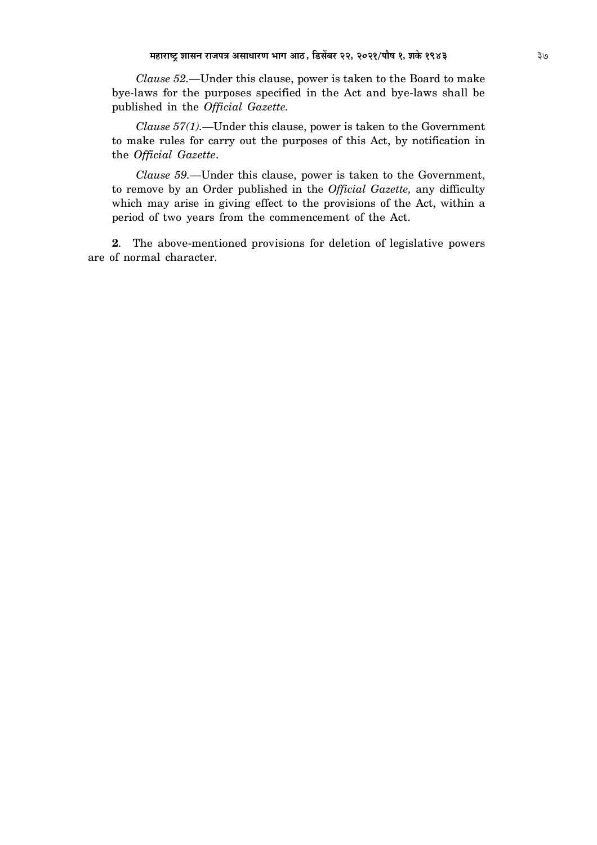Clause 52.—Under this clause, power is taken to the Board to make bye-laws for the purposes specified in the Act and bye-laws shall be published in the Official Gazette.

*Clause 57(1)*.—Under this clause, power is taken to the Government to make rules for carry out the purposes of this Act, by notification in the Official Gazette.

Clause 59.—Under this clause, power is taken to the Government, to remove by an Order published in the Official Gazette, any difficulty which may arise in giving effect to the provisions of the Act, within a period of two years from the commencement of the Act.

2. The above-mentioned provisions for deletion of legislative powers are of normal character.